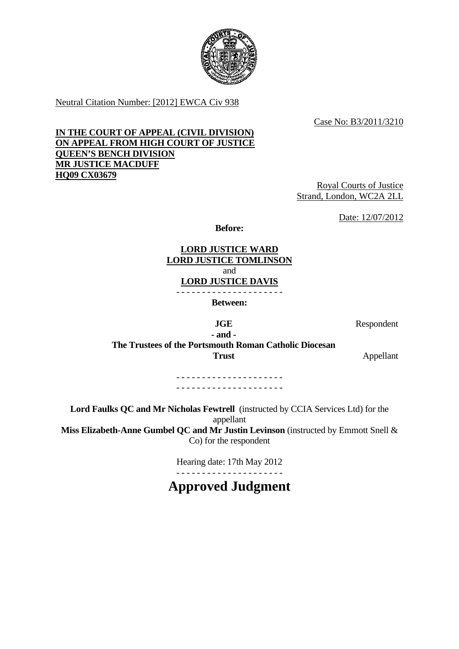

Neutral Citation Number: [2012] EWCA Civ 938

Case No: B3/2011/3210

# **IN THE COURT OF APPEAL (CIVIL DIVISION) ON APPEAL FROM HIGH COURT OF JUSTICE QUEEN'S BENCH DIVISION MR JUSTICE MACDUFF HQ09 CX03679**

Royal Courts of Justice Strand, London, WC2A 2LL

Date: 12/07/2012

**Before:** 

**LORD JUSTICE WARD LORD JUSTICE TOMLINSON**  and **LORD JUSTICE DAVIS** 

- - - - - - - - - - - - - - - - - - - - -

**Between:**

Respondent

**- and - The Trustees of the Portsmouth Roman Catholic Diocesan Trust** 

 **JGE** 

Appellant

- - - - - - - - - - - - - - - - - - - - - - - - - - - - - - - - - - - - - - - - - -

**Lord Faulks QC and Mr Nicholas Fewtrell** (instructed by CCIA Services Ltd) for the appellant **Miss Elizabeth-Anne Gumbel QC and Mr Justin Levinson** (instructed by Emmott Snell &

Co) for the respondent

Hearing date: 17th May 2012

- - - - - - - - - - - - - - - - - - - - -

**Approved Judgment**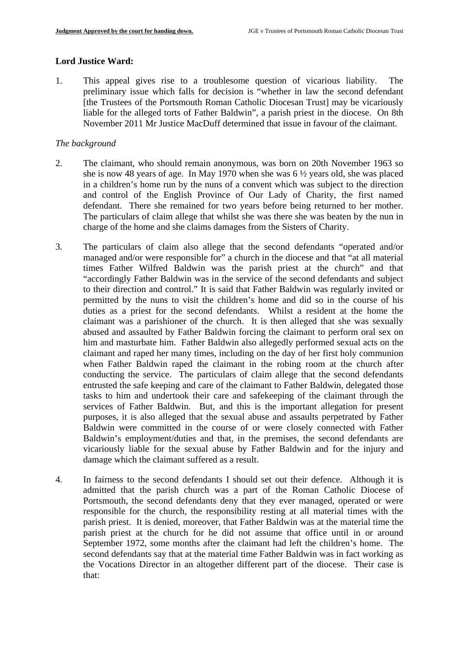### **Lord Justice Ward:**

1. This appeal gives rise to a troublesome question of vicarious liability. The preliminary issue which falls for decision is "whether in law the second defendant [the Trustees of the Portsmouth Roman Catholic Diocesan Trust] may be vicariously liable for the alleged torts of Father Baldwin", a parish priest in the diocese. On 8th November 2011 Mr Justice MacDuff determined that issue in favour of the claimant.

### *The background*

- 2. The claimant, who should remain anonymous, was born on 20th November 1963 so she is now 48 years of age. In May 1970 when she was 6 ½ years old, she was placed in a children's home run by the nuns of a convent which was subject to the direction and control of the English Province of Our Lady of Charity, the first named defendant. There she remained for two years before being returned to her mother. The particulars of claim allege that whilst she was there she was beaten by the nun in charge of the home and she claims damages from the Sisters of Charity.
- 3. The particulars of claim also allege that the second defendants "operated and/or managed and/or were responsible for" a church in the diocese and that "at all material times Father Wilfred Baldwin was the parish priest at the church" and that "accordingly Father Baldwin was in the service of the second defendants and subject to their direction and control." It is said that Father Baldwin was regularly invited or permitted by the nuns to visit the children's home and did so in the course of his duties as a priest for the second defendants. Whilst a resident at the home the claimant was a parishioner of the church. It is then alleged that she was sexually abused and assaulted by Father Baldwin forcing the claimant to perform oral sex on him and masturbate him. Father Baldwin also allegedly performed sexual acts on the claimant and raped her many times, including on the day of her first holy communion when Father Baldwin raped the claimant in the robing room at the church after conducting the service. The particulars of claim allege that the second defendants entrusted the safe keeping and care of the claimant to Father Baldwin, delegated those tasks to him and undertook their care and safekeeping of the claimant through the services of Father Baldwin. But, and this is the important allegation for present purposes, it is also alleged that the sexual abuse and assaults perpetrated by Father Baldwin were committed in the course of or were closely connected with Father Baldwin's employment/duties and that, in the premises, the second defendants are vicariously liable for the sexual abuse by Father Baldwin and for the injury and damage which the claimant suffered as a result.
- 4. In fairness to the second defendants I should set out their defence. Although it is admitted that the parish church was a part of the Roman Catholic Diocese of Portsmouth, the second defendants deny that they ever managed, operated or were responsible for the church, the responsibility resting at all material times with the parish priest. It is denied, moreover, that Father Baldwin was at the material time the parish priest at the church for he did not assume that office until in or around September 1972, some months after the claimant had left the children's home. The second defendants say that at the material time Father Baldwin was in fact working as the Vocations Director in an altogether different part of the diocese. Their case is that: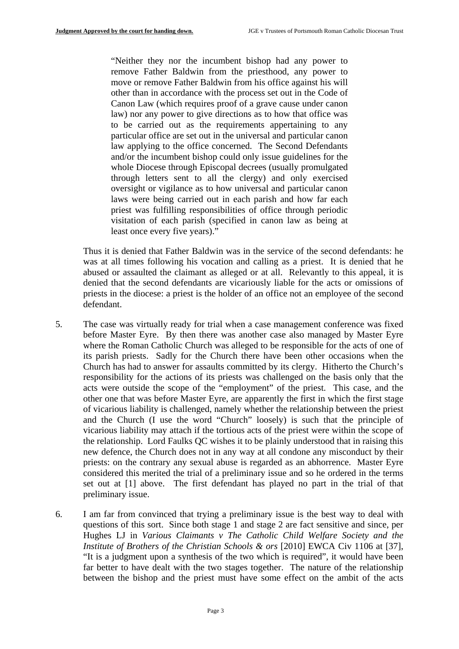"Neither they nor the incumbent bishop had any power to remove Father Baldwin from the priesthood, any power to move or remove Father Baldwin from his office against his will other than in accordance with the process set out in the Code of Canon Law (which requires proof of a grave cause under canon law) nor any power to give directions as to how that office was to be carried out as the requirements appertaining to any particular office are set out in the universal and particular canon law applying to the office concerned. The Second Defendants and/or the incumbent bishop could only issue guidelines for the whole Diocese through Episcopal decrees (usually promulgated through letters sent to all the clergy) and only exercised oversight or vigilance as to how universal and particular canon laws were being carried out in each parish and how far each priest was fulfilling responsibilities of office through periodic visitation of each parish (specified in canon law as being at least once every five years)."

Thus it is denied that Father Baldwin was in the service of the second defendants: he was at all times following his vocation and calling as a priest. It is denied that he abused or assaulted the claimant as alleged or at all. Relevantly to this appeal, it is denied that the second defendants are vicariously liable for the acts or omissions of priests in the diocese: a priest is the holder of an office not an employee of the second defendant.

- 5. The case was virtually ready for trial when a case management conference was fixed before Master Eyre. By then there was another case also managed by Master Eyre where the Roman Catholic Church was alleged to be responsible for the acts of one of its parish priests. Sadly for the Church there have been other occasions when the Church has had to answer for assaults committed by its clergy. Hitherto the Church's responsibility for the actions of its priests was challenged on the basis only that the acts were outside the scope of the "employment" of the priest. This case, and the other one that was before Master Eyre, are apparently the first in which the first stage of vicarious liability is challenged, namely whether the relationship between the priest and the Church (I use the word "Church" loosely) is such that the principle of vicarious liability may attach if the tortious acts of the priest were within the scope of the relationship. Lord Faulks QC wishes it to be plainly understood that in raising this new defence, the Church does not in any way at all condone any misconduct by their priests: on the contrary any sexual abuse is regarded as an abhorrence. Master Eyre considered this merited the trial of a preliminary issue and so he ordered in the terms set out at [1] above. The first defendant has played no part in the trial of that preliminary issue.
- 6. I am far from convinced that trying a preliminary issue is the best way to deal with questions of this sort. Since both stage 1 and stage 2 are fact sensitive and since, per Hughes LJ in *Various Claimants v The Catholic Child Welfare Society and the Institute of Brothers of the Christian Schools & ors* [2010] EWCA Civ 1106 at [37], "It is a judgment upon a synthesis of the two which is required", it would have been far better to have dealt with the two stages together. The nature of the relationship between the bishop and the priest must have some effect on the ambit of the acts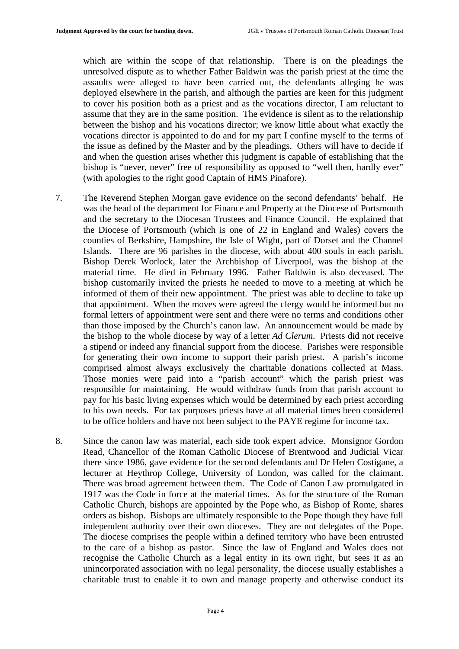which are within the scope of that relationship. There is on the pleadings the unresolved dispute as to whether Father Baldwin was the parish priest at the time the assaults were alleged to have been carried out, the defendants alleging he was deployed elsewhere in the parish, and although the parties are keen for this judgment to cover his position both as a priest and as the vocations director, I am reluctant to assume that they are in the same position. The evidence is silent as to the relationship between the bishop and his vocations director; we know little about what exactly the vocations director is appointed to do and for my part I confine myself to the terms of the issue as defined by the Master and by the pleadings. Others will have to decide if and when the question arises whether this judgment is capable of establishing that the bishop is "never, never" free of responsibility as opposed to "well then, hardly ever" (with apologies to the right good Captain of HMS Pinafore).

- 7. The Reverend Stephen Morgan gave evidence on the second defendants' behalf. He was the head of the department for Finance and Property at the Diocese of Portsmouth and the secretary to the Diocesan Trustees and Finance Council. He explained that the Diocese of Portsmouth (which is one of 22 in England and Wales) covers the counties of Berkshire, Hampshire, the Isle of Wight, part of Dorset and the Channel Islands. There are 96 parishes in the diocese, with about 400 souls in each parish. Bishop Derek Worlock, later the Archbishop of Liverpool, was the bishop at the material time. He died in February 1996. Father Baldwin is also deceased. The bishop customarily invited the priests he needed to move to a meeting at which he informed of them of their new appointment. The priest was able to decline to take up that appointment. When the moves were agreed the clergy would be informed but no formal letters of appointment were sent and there were no terms and conditions other than those imposed by the Church's canon law. An announcement would be made by the bishop to the whole diocese by way of a letter *Ad Clerum*. Priests did not receive a stipend or indeed any financial support from the diocese. Parishes were responsible for generating their own income to support their parish priest. A parish's income comprised almost always exclusively the charitable donations collected at Mass. Those monies were paid into a "parish account" which the parish priest was responsible for maintaining. He would withdraw funds from that parish account to pay for his basic living expenses which would be determined by each priest according to his own needs. For tax purposes priests have at all material times been considered to be office holders and have not been subject to the PAYE regime for income tax.
- 8. Since the canon law was material, each side took expert advice. Monsignor Gordon Read, Chancellor of the Roman Catholic Diocese of Brentwood and Judicial Vicar there since 1986, gave evidence for the second defendants and Dr Helen Costigane, a lecturer at Heythrop College, University of London, was called for the claimant. There was broad agreement between them. The Code of Canon Law promulgated in 1917 was the Code in force at the material times. As for the structure of the Roman Catholic Church, bishops are appointed by the Pope who, as Bishop of Rome, shares orders as bishop. Bishops are ultimately responsible to the Pope though they have full independent authority over their own dioceses. They are not delegates of the Pope. The diocese comprises the people within a defined territory who have been entrusted to the care of a bishop as pastor. Since the law of England and Wales does not recognise the Catholic Church as a legal entity in its own right, but sees it as an unincorporated association with no legal personality, the diocese usually establishes a charitable trust to enable it to own and manage property and otherwise conduct its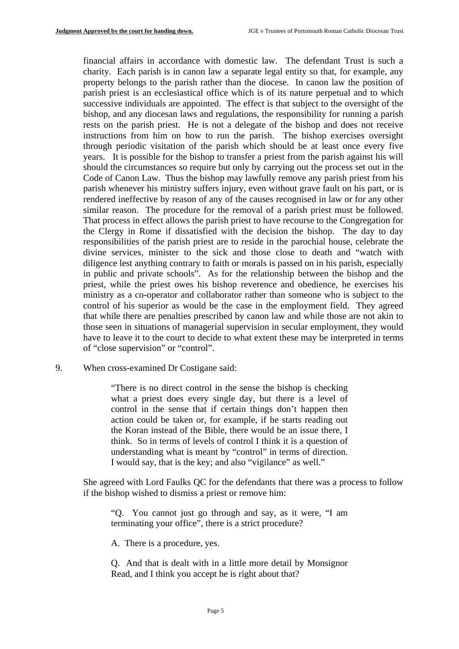financial affairs in accordance with domestic law. The defendant Trust is such a charity. Each parish is in canon law a separate legal entity so that, for example, any property belongs to the parish rather than the diocese. In canon law the position of parish priest is an ecclesiastical office which is of its nature perpetual and to which successive individuals are appointed. The effect is that subject to the oversight of the bishop, and any diocesan laws and regulations, the responsibility for running a parish rests on the parish priest. He is not a delegate of the bishop and does not receive instructions from him on how to run the parish. The bishop exercises oversight through periodic visitation of the parish which should be at least once every five years. It is possible for the bishop to transfer a priest from the parish against his will should the circumstances so require but only by carrying out the process set out in the Code of Canon Law. Thus the bishop may lawfully remove any parish priest from his parish whenever his ministry suffers injury, even without grave fault on his part, or is rendered ineffective by reason of any of the causes recognised in law or for any other similar reason. The procedure for the removal of a parish priest must be followed. That process in effect allows the parish priest to have recourse to the Congregation for the Clergy in Rome if dissatisfied with the decision the bishop. The day to day responsibilities of the parish priest are to reside in the parochial house, celebrate the divine services, minister to the sick and those close to death and "watch with diligence lest anything contrary to faith or morals is passed on in his parish, especially in public and private schools". As for the relationship between the bishop and the priest, while the priest owes his bishop reverence and obedience, he exercises his ministry as a co-operator and collaborator rather than someone who is subject to the control of his superior as would be the case in the employment field. They agreed that while there are penalties prescribed by canon law and while those are not akin to those seen in situations of managerial supervision in secular employment, they would have to leave it to the court to decide to what extent these may be interpreted in terms of "close supervision" or "control".

9. When cross-examined Dr Costigane said:

"There is no direct control in the sense the bishop is checking what a priest does every single day, but there is a level of control in the sense that if certain things don't happen then action could be taken or, for example, if he starts reading out the Koran instead of the Bible, there would be an issue there, I think. So in terms of levels of control I think it is a question of understanding what is meant by "control" in terms of direction. I would say, that is the key; and also "vigilance" as well."

She agreed with Lord Faulks QC for the defendants that there was a process to follow if the bishop wished to dismiss a priest or remove him:

"Q. You cannot just go through and say, as it were, "I am terminating your office", there is a strict procedure?

A. There is a procedure, yes.

Q. And that is dealt with in a little more detail by Monsignor Read, and I think you accept he is right about that?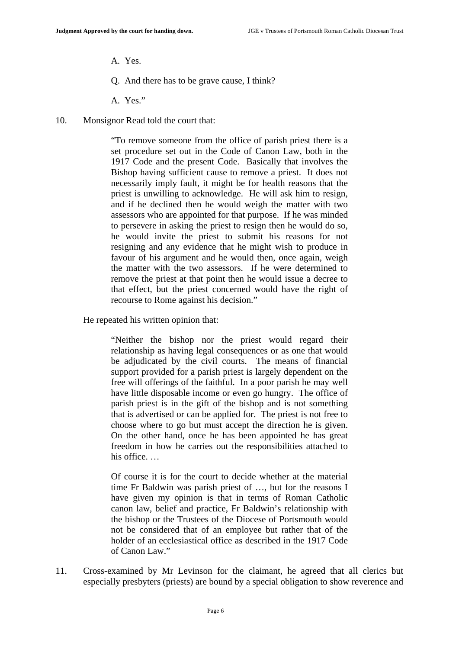- A. Yes.
- Q. And there has to be grave cause, I think? A. Yes."
- 
- 10. Monsignor Read told the court that:

"To remove someone from the office of parish priest there is a set procedure set out in the Code of Canon Law, both in the 1917 Code and the present Code. Basically that involves the Bishop having sufficient cause to remove a priest. It does not necessarily imply fault, it might be for health reasons that the priest is unwilling to acknowledge. He will ask him to resign, and if he declined then he would weigh the matter with two assessors who are appointed for that purpose. If he was minded to persevere in asking the priest to resign then he would do so, he would invite the priest to submit his reasons for not resigning and any evidence that he might wish to produce in favour of his argument and he would then, once again, weigh the matter with the two assessors. If he were determined to remove the priest at that point then he would issue a decree to that effect, but the priest concerned would have the right of recourse to Rome against his decision."

He repeated his written opinion that:

"Neither the bishop nor the priest would regard their relationship as having legal consequences or as one that would be adjudicated by the civil courts. The means of financial support provided for a parish priest is largely dependent on the free will offerings of the faithful. In a poor parish he may well have little disposable income or even go hungry. The office of parish priest is in the gift of the bishop and is not something that is advertised or can be applied for. The priest is not free to choose where to go but must accept the direction he is given. On the other hand, once he has been appointed he has great freedom in how he carries out the responsibilities attached to his office. …

Of course it is for the court to decide whether at the material time Fr Baldwin was parish priest of …, but for the reasons I have given my opinion is that in terms of Roman Catholic canon law, belief and practice, Fr Baldwin's relationship with the bishop or the Trustees of the Diocese of Portsmouth would not be considered that of an employee but rather that of the holder of an ecclesiastical office as described in the 1917 Code of Canon Law."

11. Cross-examined by Mr Levinson for the claimant, he agreed that all clerics but especially presbyters (priests) are bound by a special obligation to show reverence and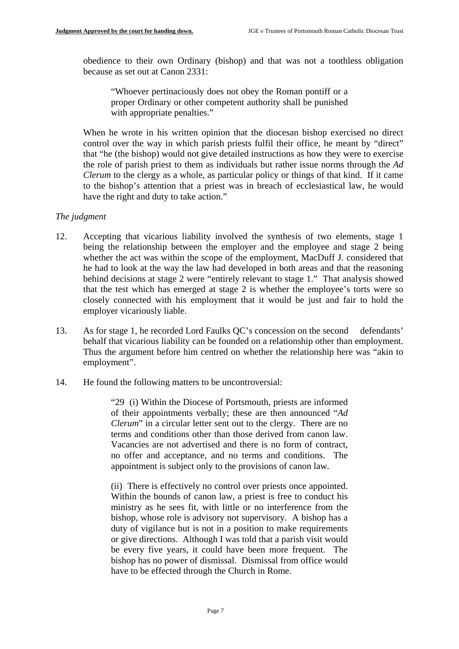obedience to their own Ordinary (bishop) and that was not a toothless obligation because as set out at Canon 2331:

"Whoever pertinaciously does not obey the Roman pontiff or a proper Ordinary or other competent authority shall be punished with appropriate penalties."

When he wrote in his written opinion that the diocesan bishop exercised no direct control over the way in which parish priests fulfil their office, he meant by "direct" that "he (the bishop) would not give detailed instructions as how they were to exercise the role of parish priest to them as individuals but rather issue norms through the *Ad Clerum* to the clergy as a whole, as particular policy or things of that kind. If it came to the bishop's attention that a priest was in breach of ecclesiastical law, he would have the right and duty to take action."

### *The judgment*

- 12. Accepting that vicarious liability involved the synthesis of two elements, stage 1 being the relationship between the employer and the employee and stage 2 being whether the act was within the scope of the employment, MacDuff J. considered that he had to look at the way the law had developed in both areas and that the reasoning behind decisions at stage 2 were "entirely relevant to stage 1." That analysis showed that the test which has emerged at stage 2 is whether the employee's torts were so closely connected with his employment that it would be just and fair to hold the employer vicariously liable.
- 13. As for stage 1, he recorded Lord Faulks QC's concession on the second defendants' behalf that vicarious liability can be founded on a relationship other than employment. Thus the argument before him centred on whether the relationship here was "akin to employment".
- 14. He found the following matters to be uncontroversial:

"29 (i) Within the Diocese of Portsmouth, priests are informed of their appointments verbally; these are then announced "*Ad Clerum*" in a circular letter sent out to the clergy. There are no terms and conditions other than those derived from canon law. Vacancies are not advertised and there is no form of contract, no offer and acceptance, and no terms and conditions. The appointment is subject only to the provisions of canon law.

(ii) There is effectively no control over priests once appointed. Within the bounds of canon law, a priest is free to conduct his ministry as he sees fit, with little or no interference from the bishop, whose role is advisory not supervisory. A bishop has a duty of vigilance but is not in a position to make requirements or give directions. Although I was told that a parish visit would be every five years, it could have been more frequent. The bishop has no power of dismissal. Dismissal from office would have to be effected through the Church in Rome.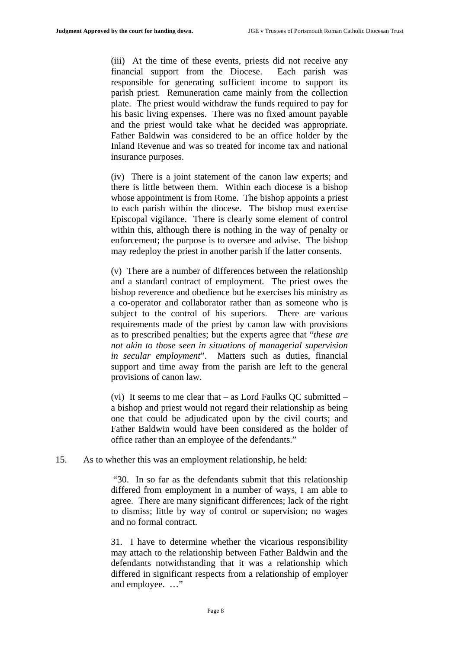(iii) At the time of these events, priests did not receive any financial support from the Diocese. Each parish was responsible for generating sufficient income to support its parish priest. Remuneration came mainly from the collection plate. The priest would withdraw the funds required to pay for his basic living expenses. There was no fixed amount payable and the priest would take what he decided was appropriate. Father Baldwin was considered to be an office holder by the Inland Revenue and was so treated for income tax and national insurance purposes.

(iv) There is a joint statement of the canon law experts; and there is little between them. Within each diocese is a bishop whose appointment is from Rome. The bishop appoints a priest to each parish within the diocese. The bishop must exercise Episcopal vigilance. There is clearly some element of control within this, although there is nothing in the way of penalty or enforcement; the purpose is to oversee and advise. The bishop

may redeploy the priest in another parish if the latter consents.<br>(v) There are a number of differences between the relationship and a standard contract of employment. The priest owes the bishop reverence and obedience but he exercises his ministry as a co-operator and collaborator rather than as someone who is subject to the control of his superiors. There are various requirements made of the priest by canon law with provisions as to prescribed penalties; but the experts agree that "*these are not akin to those seen in situations of managerial supervision in secular employment*". Matters such as duties, financial support and time away from the parish are left to the general provisions of canon law.

(vi) It seems to me clear that – as Lord Faulks QC submitted – a bishop and priest would not regard their relationship as being one that could be adjudicated upon by the civil courts; and Father Baldwin would have been considered as the holder of office rather than an employee of the defendants."

15. As to whether this was an employment relationship, he held:

"30. In so far as the defendants submit that this relationship differed from employment in a number of ways, I am able to agree. There are many significant differences; lack of the right to dismiss; little by way of control or supervision; no wages and no formal contract.

31. I have to determine whether the vicarious responsibility may attach to the relationship between Father Baldwin and the defendants notwithstanding that it was a relationship which differed in significant respects from a relationship of employer and employee. …"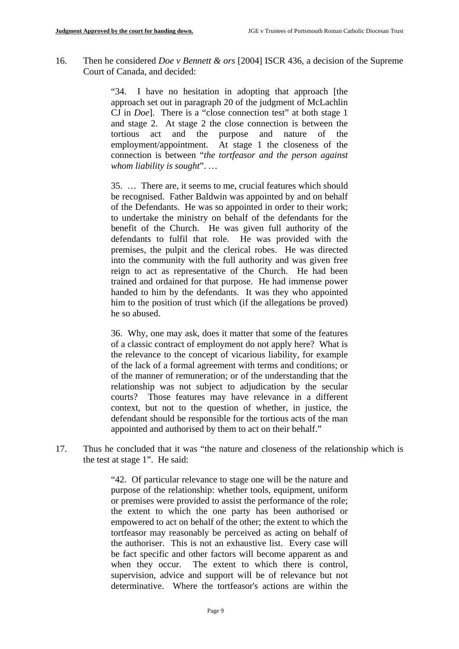16. Then he considered *Doe v Bennett & ors* [2004] ISCR 436, a decision of the Supreme Court of Canada, and decided:

> "34. I have no hesitation in adopting that approach [the approach set out in paragraph 20 of the judgment of McLachlin CJ in *Doe*]. There is a "close connection test" at both stage 1 and stage 2. At stage 2 the close connection is between the tortious act and the purpose and nature of the employment/appointment. At stage 1 the closeness of the connection is between "*the tortfeasor and the person against whom liability is sought*". …

> 35. … There are, it seems to me, crucial features which should be recognised. Father Baldwin was appointed by and on behalf of the Defendants. He was so appointed in order to their work; to undertake the ministry on behalf of the defendants for the benefit of the Church. He was given full authority of the defendants to fulfil that role. He was provided with the premises, the pulpit and the clerical robes. He was directed into the community with the full authority and was given free reign to act as representative of the Church. He had been trained and ordained for that purpose. He had immense power handed to him by the defendants. It was they who appointed him to the position of trust which (if the allegations be proved) he so abused.

> 36. Why, one may ask, does it matter that some of the features of a classic contract of employment do not apply here? What is the relevance to the concept of vicarious liability, for example of the lack of a formal agreement with terms and conditions; or of the manner of remuneration; or of the understanding that the relationship was not subject to adjudication by the secular courts? Those features may have relevance in a different context, but not to the question of whether, in justice, the defendant should be responsible for the tortious acts of the man appointed and authorised by them to act on their behalf."

17. Thus he concluded that it was "the nature and closeness of the relationship which is the test at stage 1". He said:

> "42. Of particular relevance to stage one will be the nature and purpose of the relationship: whether tools, equipment, uniform or premises were provided to assist the performance of the role; the extent to which the one party has been authorised or empowered to act on behalf of the other; the extent to which the tortfeasor may reasonably be perceived as acting on behalf of the authoriser. This is not an exhaustive list. Every case will be fact specific and other factors will become apparent as and when they occur. The extent to which there is control, supervision, advice and support will be of relevance but not determinative. Where the tortfeasor's actions are within the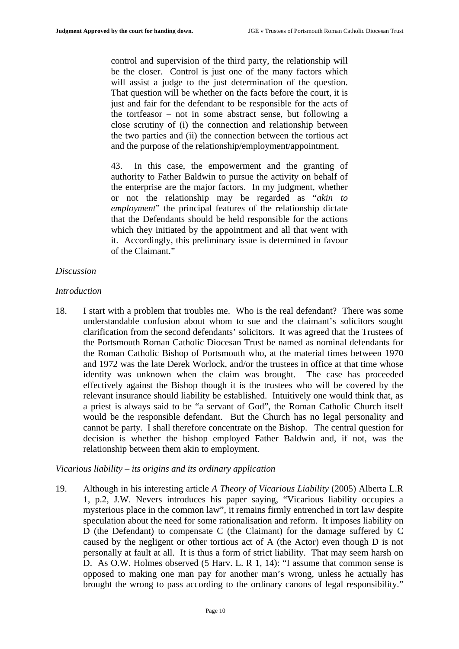control and supervision of the third party, the relationship will be the closer. Control is just one of the many factors which will assist a judge to the just determination of the question. That question will be whether on the facts before the court, it is just and fair for the defendant to be responsible for the acts of the tortfeasor – not in some abstract sense, but following a close scrutiny of (i) the connection and relationship between the two parties and (ii) the connection between the tortious act and the purpose of the relationship/employment/appointment.

43. In this case, the empowerment and the granting of authority to Father Baldwin to pursue the activity on behalf of the enterprise are the major factors. In my judgment, whether or not the relationship may be regarded as "*akin to employment*" the principal features of the relationship dictate that the Defendants should be held responsible for the actions which they initiated by the appointment and all that went with it. Accordingly, this preliminary issue is determined in favour of the Claimant."

# *Discussion*

## *Introduction*

18. I start with a problem that troubles me. Who is the real defendant? There was some understandable confusion about whom to sue and the claimant's solicitors sought clarification from the second defendants' solicitors. It was agreed that the Trustees of the Portsmouth Roman Catholic Diocesan Trust be named as nominal defendants for the Roman Catholic Bishop of Portsmouth who, at the material times between 1970 and 1972 was the late Derek Worlock, and/or the trustees in office at that time whose identity was unknown when the claim was brought. The case has proceeded effectively against the Bishop though it is the trustees who will be covered by the relevant insurance should liability be established. Intuitively one would think that, as a priest is always said to be "a servant of God", the Roman Catholic Church itself would be the responsible defendant. But the Church has no legal personality and cannot be party. I shall therefore concentrate on the Bishop. The central question for decision is whether the bishop employed Father Baldwin and, if not, was the relationship between them akin to employment.

## *Vicarious liability – its origins and its ordinary application*

19. Although in his interesting article *A Theory of Vicarious Liability* (2005) Alberta L.R 1, p.2, J.W. Nevers introduces his paper saying, "Vicarious liability occupies a mysterious place in the common law", it remains firmly entrenched in tort law despite speculation about the need for some rationalisation and reform. It imposes liability on D (the Defendant) to compensate C (the Claimant) for the damage suffered by C caused by the negligent or other tortious act of A (the Actor) even though D is not personally at fault at all. It is thus a form of strict liability. That may seem harsh on D. As O.W. Holmes observed (5 Harv. L. R 1, 14): "I assume that common sense is opposed to making one man pay for another man's wrong, unless he actually has brought the wrong to pass according to the ordinary canons of legal responsibility."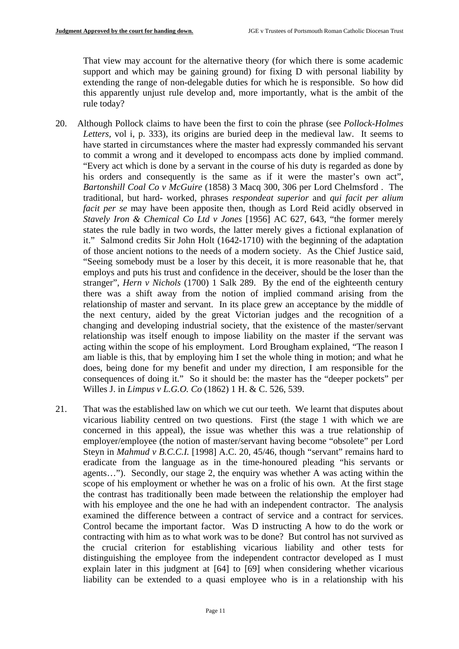rule today? That view may account for the alternative theory (for which there is some academic support and which may be gaining ground) for fixing D with personal liability by extending the range of non-delegable duties for which he is responsible. So how did this apparently unjust rule develop and, more importantly, what is the ambit of the

- 20. Although Pollock claims to have been the first to coin the phrase (see *Pollock-Holmes Letters,* vol i, p. 333), its origins are buried deep in the medieval law. It seems to have started in circumstances where the master had expressly commanded his servant to commit a wrong and it developed to encompass acts done by implied command. "Every act which is done by a servant in the course of his duty is regarded as done by his orders and consequently is the same as if it were the master's own act", *Bartonshill Coal Co v McGuire* (1858) 3 Macq 300, 306 per Lord Chelmsford . The traditional, but hard- worked, phrases *respondeat superior* and *qui facit per alium facit per se* may have been apposite then, though as Lord Reid acidly observed in *Stavely Iron & Chemical Co Ltd v Jones* [1956] AC 627, 643, "the former merely states the rule badly in two words, the latter merely gives a fictional explanation of it." Salmond credits Sir John Holt (1642-1710) with the beginning of the adaptation of those ancient notions to the needs of a modern society. As the Chief Justice said, "Seeing somebody must be a loser by this deceit, it is more reasonable that he, that employs and puts his trust and confidence in the deceiver, should be the loser than the stranger", *Hern v Nichols* (1700) 1 Salk 289. By the end of the eighteenth century there was a shift away from the notion of implied command arising from the relationship of master and servant. In its place grew an acceptance by the middle of the next century, aided by the great Victorian judges and the recognition of a changing and developing industrial society, that the existence of the master/servant relationship was itself enough to impose liability on the master if the servant was acting within the scope of his employment. Lord Brougham explained, "The reason I am liable is this, that by employing him I set the whole thing in motion; and what he does, being done for my benefit and under my direction, I am responsible for the consequences of doing it." So it should be: the master has the "deeper pockets" per Willes J. in *Limpus v L.G.O. Co* (1862) 1 H. & C. 526, 539.
- 21. That was the established law on which we cut our teeth. We learnt that disputes about vicarious liability centred on two questions. First (the stage 1 with which we are concerned in this appeal), the issue was whether this was a true relationship of employer/employee (the notion of master/servant having become "obsolete" per Lord Steyn in *Mahmud v B.C.C.I.* [1998] A.C. 20, 45/46, though "servant" remains hard to eradicate from the language as in the time-honoured pleading "his servants or agents…"). Secondly, our stage 2, the enquiry was whether A was acting within the scope of his employment or whether he was on a frolic of his own. At the first stage the contrast has traditionally been made between the relationship the employer had with his employee and the one he had with an independent contractor. The analysis examined the difference between a contract of service and a contract for services. Control became the important factor. Was D instructing A how to do the work or contracting with him as to what work was to be done? But control has not survived as the crucial criterion for establishing vicarious liability and other tests for distinguishing the employee from the independent contractor developed as I must explain later in this judgment at [64] to [69] when considering whether vicarious liability can be extended to a quasi employee who is in a relationship with his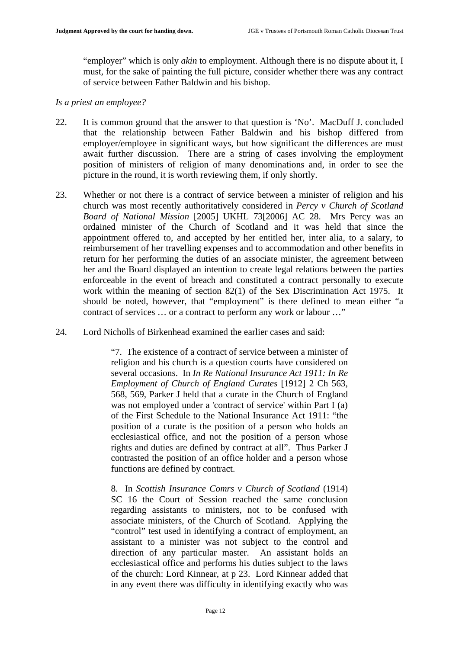"employer" which is only *akin* to employment. Although there is no dispute about it, I must, for the sake of painting the full picture, consider whether there was any contract of service between Father Baldwin and his bishop.

### *Is a priest an employee?*

- 22. It is common ground that the answer to that question is 'No'. MacDuff J. concluded that the relationship between Father Baldwin and his bishop differed from employer/employee in significant ways, but how significant the differences are must await further discussion. There are a string of cases involving the employment position of ministers of religion of many denominations and, in order to see the picture in the round, it is worth reviewing them, if only shortly.
- Board of National Mission [2005] UKHL 73[2006] AC 28. Mrs Percy was an 23. Whether or not there is a contract of service between a minister of religion and his church was most recently authoritatively considered in *Percy v Church of Scotland*  ordained minister of the Church of Scotland and it was held that since the appointment offered to, and accepted by her entitled her, inter alia, to a salary, to reimbursement of her travelling expenses and to accommodation and other benefits in return for her performing the duties of an associate minister, the agreement between her and the Board displayed an intention to create legal relations between the parties enforceable in the event of breach and constituted a contract personally to execute work within the meaning of section 82(1) of the Sex Discrimination Act 1975. It should be noted, however, that "employment" is there defined to mean either "a contract of services … or a contract to perform any work or labour …"
- 24. Lord Nicholls of Birkenhead examined the earlier cases and said:

"7. The existence of a contract of service between a minister of religion and his church is a question courts have considered on several occasions. In *In Re National Insurance Act 1911: In Re Employment of Church of England Curates* [1912] 2 Ch 563, 568, 569, Parker J held that a curate in the Church of England was not employed under a 'contract of service' within Part I (a) of the First Schedule to the National Insurance Act 1911: "the position of a curate is the position of a person who holds an ecclesiastical office, and not the position of a person whose rights and duties are defined by contract at all". Thus Parker J contrasted the position of an office holder and a person whose functions are defined by contract.

8. In *Scottish Insurance Comrs v Church of Scotland* (1914) SC 16 the Court of Session reached the same conclusion regarding assistants to ministers, not to be confused with associate ministers, of the Church of Scotland. Applying the "control" test used in identifying a contract of employment, an assistant to a minister was not subject to the control and direction of any particular master. An assistant holds an ecclesiastical office and performs his duties subject to the laws of the church: Lord Kinnear, at p 23. Lord Kinnear added that in any event there was difficulty in identifying exactly who was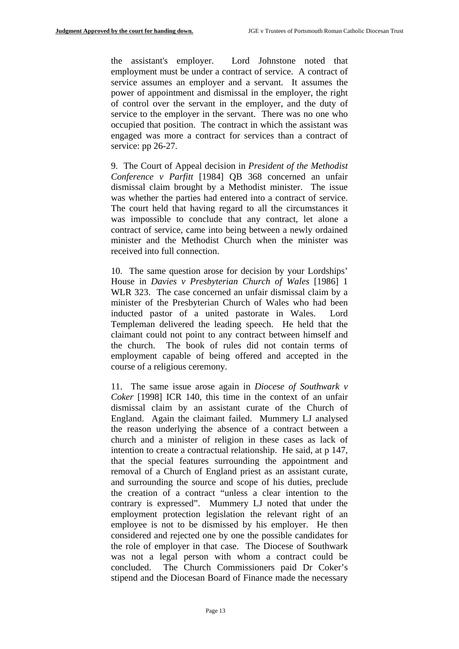the assistant's employer. Lord Johnstone noted that employment must be under a contract of service. A contract of service assumes an employer and a servant. It assumes the power of appointment and dismissal in the employer, the right of control over the servant in the employer, and the duty of service to the employer in the servant. There was no one who occupied that position. The contract in which the assistant was engaged was more a contract for services than a contract of service: pp 26-27.

9. The Court of Appeal decision in *President of the Methodist Conference v Parfitt* [1984] QB 368 concerned an unfair dismissal claim brought by a Methodist minister. The issue was whether the parties had entered into a contract of service. The court held that having regard to all the circumstances it was impossible to conclude that any contract, let alone a contract of service, came into being between a newly ordained minister and the Methodist Church when the minister was received into full connection.

10. The same question arose for decision by your Lordships' House in *Davies v Presbyterian Church of Wales* [1986] 1 WLR 323. The case concerned an unfair dismissal claim by a minister of the Presbyterian Church of Wales who had been inducted pastor of a united pastorate in Wales. Lord Templeman delivered the leading speech. He held that the claimant could not point to any contract between himself and the church. The book of rules did not contain terms of employment capable of being offered and accepted in the course of a religious ceremony.

11. The same issue arose again in *Diocese of Southwark v Coker* [1998] ICR 140, this time in the context of an unfair dismissal claim by an assistant curate of the Church of England. Again the claimant failed. Mummery LJ analysed the reason underlying the absence of a contract between a church and a minister of religion in these cases as lack of intention to create a contractual relationship. He said, at p 147, that the special features surrounding the appointment and removal of a Church of England priest as an assistant curate, and surrounding the source and scope of his duties, preclude the creation of a contract "unless a clear intention to the contrary is expressed". Mummery LJ noted that under the employment protection legislation the relevant right of an employee is not to be dismissed by his employer. He then considered and rejected one by one the possible candidates for the role of employer in that case. The Diocese of Southwark was not a legal person with whom a contract could be concluded. The Church Commissioners paid Dr Coker's stipend and the Diocesan Board of Finance made the necessary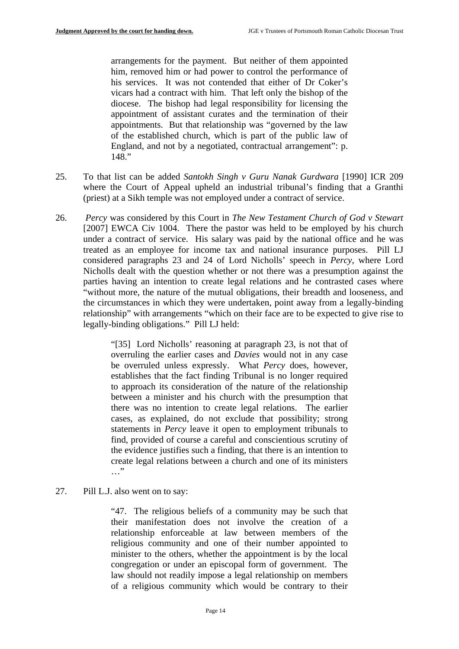vicars had a contract with him. That left only the bishop of the arrangements for the payment. But neither of them appointed him, removed him or had power to control the performance of his services. It was not contended that either of Dr Coker's diocese. The bishop had legal responsibility for licensing the appointment of assistant curates and the termination of their appointments. But that relationship was "governed by the law of the established church, which is part of the public law of England, and not by a negotiated, contractual arrangement": p.  $148.$ "

- 25. To that list can be added *Santokh Singh v Guru Nanak Gurdwara* [1990] ICR 209 where the Court of Appeal upheld an industrial tribunal's finding that a Granthi (priest) at a Sikh temple was not employed under a contract of service.
- 26. *Percy* was considered by this Court in *The New Testament Church of God v Stewart*  [2007] EWCA Civ 1004. There the pastor was held to be employed by his church under a contract of service. His salary was paid by the national office and he was treated as an employee for income tax and national insurance purposes. Pill LJ considered paragraphs 23 and 24 of Lord Nicholls' speech in *Percy*, where Lord Nicholls dealt with the question whether or not there was a presumption against the parties having an intention to create legal relations and he contrasted cases where "without more, the nature of the mutual obligations, their breadth and looseness, and the circumstances in which they were undertaken, point away from a legally-binding relationship" with arrangements "which on their face are to be expected to give rise to legally-binding obligations." Pill LJ held:

"[35] Lord Nicholls' reasoning at paragraph 23, is not that of overruling the earlier cases and *Davies* would not in any case be overruled unless expressly. What *Percy* does, however, establishes that the fact finding Tribunal is no longer required to approach its consideration of the nature of the relationship between a minister and his church with the presumption that there was no intention to create legal relations. The earlier cases, as explained, do not exclude that possibility; strong statements in *Percy* leave it open to employment tribunals to find, provided of course a careful and conscientious scrutiny of the evidence justifies such a finding, that there is an intention to create legal relations between a church and one of its ministers  $\cdots$ 

## 27. Pill L.J. also went on to say:

"47. The religious beliefs of a community may be such that their manifestation does not involve the creation of a relationship enforceable at law between members of the religious community and one of their number appointed to minister to the others, whether the appointment is by the local congregation or under an episcopal form of government. The law should not readily impose a legal relationship on members of a religious community which would be contrary to their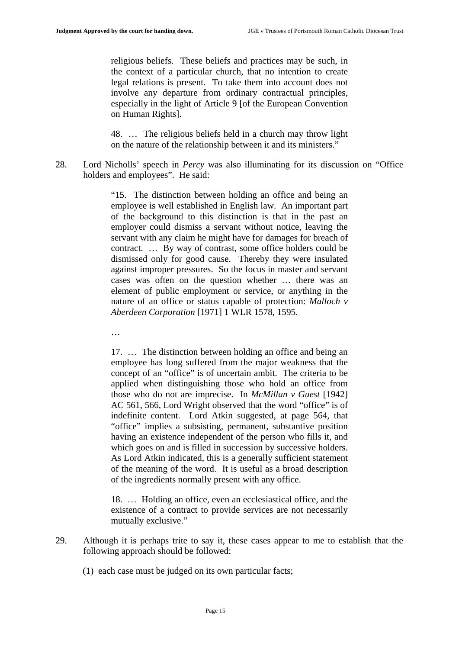religious beliefs. These beliefs and practices may be such, in the context of a particular church, that no intention to create legal relations is present. To take them into account does not involve any departure from ordinary contractual principles, especially in the light of Article 9 [of the European Convention on Human Rights].

48. … The religious beliefs held in a church may throw light on the nature of the relationship between it and its ministers."

28. Lord Nicholls' speech in *Percy* was also illuminating for its discussion on "Office holders and employees". He said:

> "15. The distinction between holding an office and being an employee is well established in English law. An important part of the background to this distinction is that in the past an employer could dismiss a servant without notice, leaving the servant with any claim he might have for damages for breach of contract. … By way of contrast, some office holders could be dismissed only for good cause. Thereby they were insulated against improper pressures. So the focus in master and servant cases was often on the question whether … there was an element of public employment or service, or anything in the nature of an office or status capable of protection: *Malloch v Aberdeen Corporation* [1971] 1 WLR 1578, 1595.

…

17. … The distinction between holding an office and being an employee has long suffered from the major weakness that the concept of an "office" is of uncertain ambit. The criteria to be applied when distinguishing those who hold an office from those who do not are imprecise. In *McMillan v Guest* [1942] AC 561, 566, Lord Wright observed that the word "office" is of indefinite content. Lord Atkin suggested, at page 564, that "office" implies a subsisting, permanent, substantive position having an existence independent of the person who fills it, and which goes on and is filled in succession by successive holders. As Lord Atkin indicated, this is a generally sufficient statement of the meaning of the word. It is useful as a broad description of the ingredients normally present with any office.

18. … Holding an office, even an ecclesiastical office, and the existence of a contract to provide services are not necessarily mutually exclusive."

- 29. Although it is perhaps trite to say it, these cases appear to me to establish that the following approach should be followed:
	- (1) each case must be judged on its own particular facts;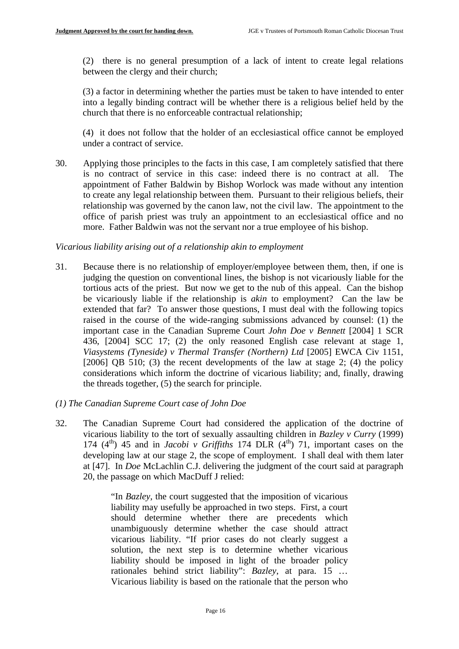(2) there is no general presumption of a lack of intent to create legal relations between the clergy and their church;

(3) a factor in determining whether the parties must be taken to have intended to enter into a legally binding contract will be whether there is a religious belief held by the church that there is no enforceable contractual relationship;

(4) it does not follow that the holder of an ecclesiastical office cannot be employed under a contract of service.

30. Applying those principles to the facts in this case, I am completely satisfied that there is no contract of service in this case: indeed there is no contract at all. The appointment of Father Baldwin by Bishop Worlock was made without any intention to create any legal relationship between them. Pursuant to their religious beliefs, their relationship was governed by the canon law, not the civil law. The appointment to the office of parish priest was truly an appointment to an ecclesiastical office and no more. Father Baldwin was not the servant nor a true employee of his bishop.

## *Vicarious liability arising out of a relationship akin to employment*

- 31. Because there is no relationship of employer/employee between them, then, if one is judging the question on conventional lines, the bishop is not vicariously liable for the tortious acts of the priest. But now we get to the nub of this appeal. Can the bishop be vicariously liable if the relationship is *akin* to employment? Can the law be extended that far? To answer those questions, I must deal with the following topics raised in the course of the wide-ranging submissions advanced by counsel: (1) the important case in the Canadian Supreme Court *John Doe v Bennett* [2004] 1 SCR 436, [2004] SCC 17; (2) the only reasoned English case relevant at stage 1, *Viasystems (Tyneside) v Thermal Transfer (Northern) Ltd* [2005] EWCA Civ 1151,  $[2006]$  QB 510; (3) the recent developments of the law at stage 2; (4) the policy considerations which inform the doctrine of vicarious liability; and, finally, drawing the threads together, (5) the search for principle.
- *(1) The Canadian Supreme Court case of John Doe*
- 32. The Canadian Supreme Court had considered the application of the doctrine of vicarious liability to the tort of sexually assaulting children in *Bazley v Curry* (1999) 174  $(4<sup>th</sup>)$  45 and in *Jacobi v Griffiths* 174 DLR  $(4<sup>th</sup>)$  71, important cases on the developing law at our stage 2, the scope of employment. I shall deal with them later at [47]. In *Doe* McLachlin C.J. delivering the judgment of the court said at paragraph 20, the passage on which MacDuff J relied:

"In *Bazley,* the court suggested that the imposition of vicarious liability may usefully be approached in two steps. First, a court should determine whether there are precedents which unambiguously determine whether the case should attract vicarious liability. "If prior cases do not clearly suggest a solution, the next step is to determine whether vicarious liability should be imposed in light of the broader policy rationales behind strict liability": *Bazley*, at para. 15 … Vicarious liability is based on the rationale that the person who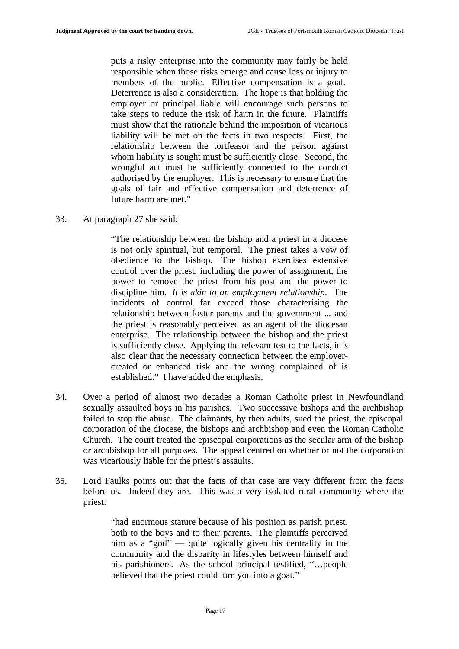puts a risky enterprise into the community may fairly be held responsible when those risks emerge and cause loss or injury to members of the public. Effective compensation is a goal. Deterrence is also a consideration. The hope is that holding the employer or principal liable will encourage such persons to take steps to reduce the risk of harm in the future. Plaintiffs must show that the rationale behind the imposition of vicarious liability will be met on the facts in two respects. First, the relationship between the tortfeasor and the person against whom liability is sought must be sufficiently close. Second, the wrongful act must be sufficiently connected to the conduct authorised by the employer. This is necessary to ensure that the goals of fair and effective compensation and deterrence of future harm are met."

33. At paragraph 27 she said:

"The relationship between the bishop and a priest in a diocese is not only spiritual, but temporal. The priest takes a vow of obedience to the bishop. The bishop exercises extensive control over the priest, including the power of assignment, the power to remove the priest from his post and the power to discipline him. *It is akin to an employment relationship*. The incidents of control far exceed those characterising the relationship between foster parents and the government ..*.* and the priest is reasonably perceived as an agent of the diocesan enterprise. The relationship between the bishop and the priest is sufficiently close. Applying the relevant test to the facts, it is also clear that the necessary connection between the employercreated or enhanced risk and the wrong complained of is established." I have added the emphasis.

- 34. Over a period of almost two decades a Roman Catholic priest in Newfoundland sexually assaulted boys in his parishes. Two successive bishops and the archbishop failed to stop the abuse. The claimants, by then adults, sued the priest, the episcopal corporation of the diocese, the bishops and archbishop and even the Roman Catholic Church. The court treated the episcopal corporations as the secular arm of the bishop or archbishop for all purposes. The appeal centred on whether or not the corporation was vicariously liable for the priest's assaults.
- 35. Lord Faulks points out that the facts of that case are very different from the facts before us. Indeed they are. This was a very isolated rural community where the priest:

"had enormous stature because of his position as parish priest, both to the boys and to their parents. The plaintiffs perceived him as a "god" — quite logically given his centrality in the community and the disparity in lifestyles between himself and his parishioners. As the school principal testified, "...people believed that the priest could turn you into a goat."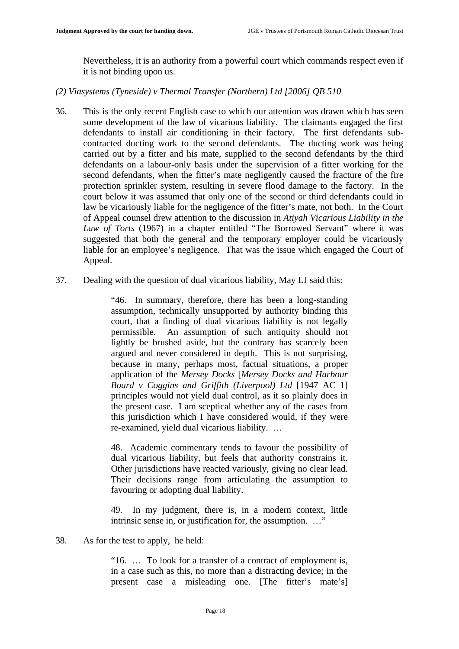Nevertheless, it is an authority from a powerful court which commands respect even if it is not binding upon us.

*(2) Viasystems (Tyneside) v Thermal Transfer (Northern) Ltd [2006] QB 510* 

- 36. This is the only recent English case to which our attention was drawn which has seen some development of the law of vicarious liability. The claimants engaged the first defendants to install air conditioning in their factory. The first defendants subcontracted ducting work to the second defendants. The ducting work was being carried out by a fitter and his mate, supplied to the second defendants by the third defendants on a labour-only basis under the supervision of a fitter working for the second defendants, when the fitter's mate negligently caused the fracture of the fire protection sprinkler system, resulting in severe flood damage to the factory. In the court below it was assumed that only one of the second or third defendants could in law be vicariously liable for the negligence of the fitter's mate, not both. In the Court of Appeal counsel drew attention to the discussion in *Atiyah Vicarious Liability in the Law of Torts* (1967) in a chapter entitled "The Borrowed Servant" where it was suggested that both the general and the temporary employer could be vicariously liable for an employee's negligence. That was the issue which engaged the Court of Appeal.
- 37. Dealing with the question of dual vicarious liability, May LJ said this:

"46. In summary, therefore, there has been a long-standing assumption, technically unsupported by authority binding this court, that a finding of dual vicarious liability is not legally permissible. An assumption of such antiquity should not lightly be brushed aside, but the contrary has scarcely been argued and never considered in depth. This is not surprising, because in many, perhaps most, factual situations, a proper application of the *Mersey Docks* [*Mersey Docks and Harbour Board v Coggins and Griffith (Liverpool) Ltd* [1947 AC 1] principles would not yield dual control, as it so plainly does in the present case. I am sceptical whether any of the cases from this jurisdiction which I have considered would, if they were re-examined, yield dual vicarious liability. …

48. Academic commentary tends to favour the possibility of dual vicarious liability, but feels that authority constrains it. Other jurisdictions have reacted variously, giving no clear lead. Their decisions range from articulating the assumption to favouring or adopting dual liability.

49. In my judgment, there is, in a modern context, little intrinsic sense in, or justification for, the assumption. …"

### 38. As for the test to apply, he held:

"16. … To look for a transfer of a contract of employment is, in a case such as this, no more than a distracting device; in the present case a misleading one. [The fitter's mate's]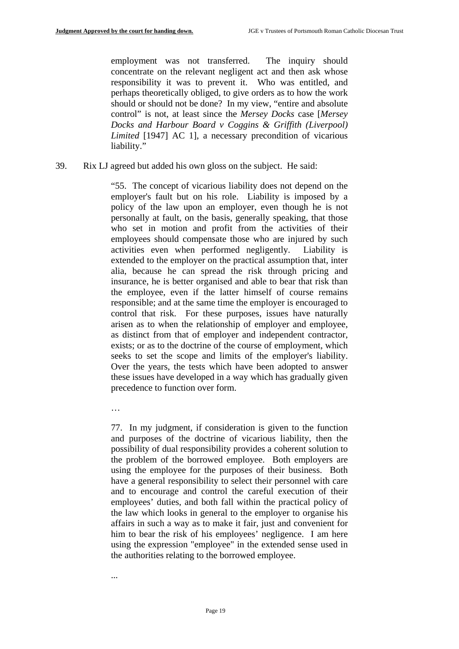employment was not transferred. The inquiry should concentrate on the relevant negligent act and then ask whose responsibility it was to prevent it. Who was entitled, and perhaps theoretically obliged, to give orders as to how the work should or should not be done? In my view, "entire and absolute control" is not, at least since the *Mersey Docks* case [*Mersey Docks and Harbour Board v Coggins & Griffith (Liverpool) Limited* [1947] AC 1], a necessary precondition of vicarious liability."

39. Rix LJ agreed but added his own gloss on the subject. He said:

seeks to set the scope and limits of the employer's liability. "55. The concept of vicarious liability does not depend on the employer's fault but on his role. Liability is imposed by a policy of the law upon an employer, even though he is not personally at fault, on the basis, generally speaking, that those who set in motion and profit from the activities of their employees should compensate those who are injured by such activities even when performed negligently. Liability is extended to the employer on the practical assumption that, inter alia, because he can spread the risk through pricing and insurance, he is better organised and able to bear that risk than the employee, even if the latter himself of course remains responsible; and at the same time the employer is encouraged to control that risk. For these purposes, issues have naturally arisen as to when the relationship of employer and employee, as distinct from that of employer and independent contractor, exists; or as to the doctrine of the course of employment, which Over the years, the tests which have been adopted to answer these issues have developed in a way which has gradually given precedence to function over form.

…

77. In my judgment, if consideration is given to the function and purposes of the doctrine of vicarious liability, then the possibility of dual responsibility provides a coherent solution to the problem of the borrowed employee. Both employers are using the employee for the purposes of their business. Both have a general responsibility to select their personnel with care and to encourage and control the careful execution of their employees' duties, and both fall within the practical policy of the law which looks in general to the employer to organise his affairs in such a way as to make it fair, just and convenient for him to bear the risk of his employees' negligence. I am here using the expression "employee" in the extended sense used in the authorities relating to the borrowed employee.

...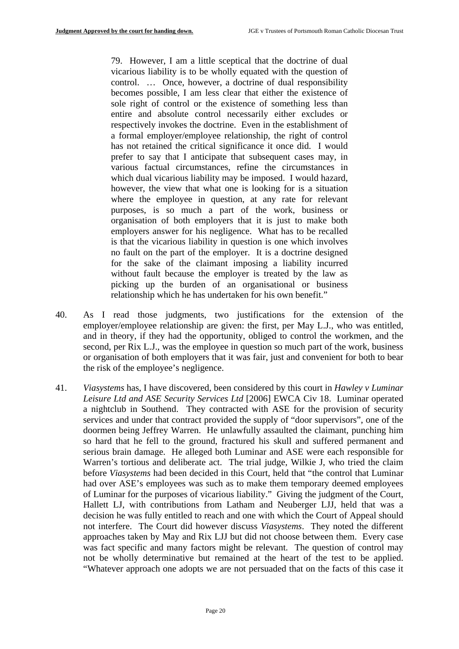79. However, I am a little sceptical that the doctrine of dual vicarious liability is to be wholly equated with the question of control. … Once, however, a doctrine of dual responsibility becomes possible, I am less clear that either the existence of sole right of control or the existence of something less than entire and absolute control necessarily either excludes or respectively invokes the doctrine. Even in the establishment of a formal employer/employee relationship, the right of control has not retained the critical significance it once did. I would prefer to say that I anticipate that subsequent cases may, in various factual circumstances, refine the circumstances in which dual vicarious liability may be imposed. I would hazard, however, the view that what one is looking for is a situation where the employee in question, at any rate for relevant purposes, is so much a part of the work, business or organisation of both employers that it is just to make both employers answer for his negligence. What has to be recalled is that the vicarious liability in question is one which involves no fault on the part of the employer. It is a doctrine designed for the sake of the claimant imposing a liability incurred without fault because the employer is treated by the law as picking up the burden of an organisational or business relationship which he has undertaken for his own benefit."

- 40. As I read those judgments, two justifications for the extension of the employer/employee relationship are given: the first, per May L.J., who was entitled, and in theory, if they had the opportunity, obliged to control the workmen, and the second, per Rix L.J., was the employee in question so much part of the work, business or organisation of both employers that it was fair, just and convenient for both to bear the risk of the employee's negligence.
- 41. *Viasystems* has, I have discovered, been considered by this court in *Hawley v Luminar Leisure Ltd and ASE Security Services Ltd* [2006] EWCA Civ 18. Luminar operated a nightclub in Southend. They contracted with ASE for the provision of security services and under that contract provided the supply of "door supervisors", one of the doormen being Jeffrey Warren. He unlawfully assaulted the claimant, punching him so hard that he fell to the ground, fractured his skull and suffered permanent and serious brain damage. He alleged both Luminar and ASE were each responsible for Warren's tortious and deliberate act. The trial judge, Wilkie J, who tried the claim before *Viasystems* had been decided in this Court, held that "the control that Luminar had over ASE's employees was such as to make them temporary deemed employees of Luminar for the purposes of vicarious liability." Giving the judgment of the Court, Hallett LJ, with contributions from Latham and Neuberger LJJ, held that was a decision he was fully entitled to reach and one with which the Court of Appeal should not interfere. The Court did however discuss *Viasystems*. They noted the different approaches taken by May and Rix LJJ but did not choose between them. Every case was fact specific and many factors might be relevant. The question of control may not be wholly determinative but remained at the heart of the test to be applied. "Whatever approach one adopts we are not persuaded that on the facts of this case it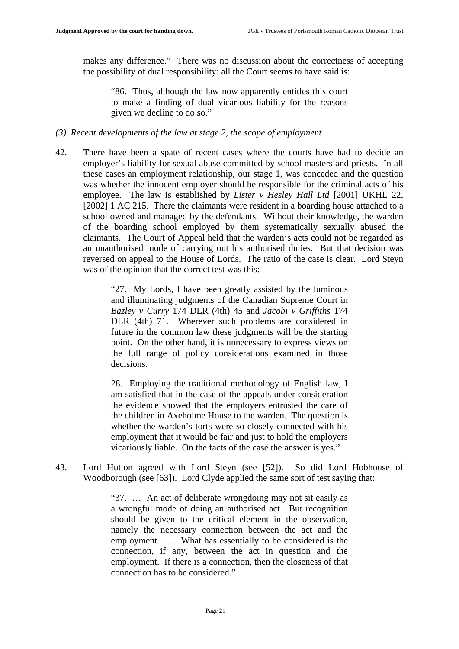makes any difference." There was no discussion about the correctness of accepting the possibility of dual responsibility: all the Court seems to have said is:

"86. Thus, although the law now apparently entitles this court to make a finding of dual vicarious liability for the reasons given we decline to do so."

- *(3) Recent developments of the law at stage 2, the scope of employment*
- 42. There have been a spate of recent cases where the courts have had to decide an employer's liability for sexual abuse committed by school masters and priests. In all these cases an employment relationship, our stage 1, was conceded and the question was whether the innocent employer should be responsible for the criminal acts of his employee. The law is established by *Lister v Hesley Hall Ltd* [2001] UKHL 22, [2002] 1 AC 215. There the claimants were resident in a boarding house attached to a school owned and managed by the defendants. Without their knowledge, the warden of the boarding school employed by them systematically sexually abused the claimants. The Court of Appeal held that the warden's acts could not be regarded as an unauthorised mode of carrying out his authorised duties. But that decision was reversed on appeal to the House of Lords. The ratio of the case is clear. Lord Steyn was of the opinion that the correct test was this:

"27. My Lords, I have been greatly assisted by the luminous and illuminating judgments of the Canadian Supreme Court in *Bazley v Curry* 174 DLR (4th) 45 and *Jacobi v Griffiths* 174 DLR (4th) 71. Wherever such problems are considered in future in the common law these judgments will be the starting point. On the other hand, it is unnecessary to express views on the full range of policy considerations examined in those decisions.

28. Employing the traditional methodology of English law, I am satisfied that in the case of the appeals under consideration the evidence showed that the employers entrusted the care of the children in Axeholme House to the warden. The question is whether the warden's torts were so closely connected with his employment that it would be fair and just to hold the employers vicariously liable. On the facts of the case the answer is yes."

43. Lord Hutton agreed with Lord Steyn (see [52]). So did Lord Hobhouse of Woodborough (see [63]). Lord Clyde applied the same sort of test saying that:

> "37. … An act of deliberate wrongdoing may not sit easily as a wrongful mode of doing an authorised act. But recognition should be given to the critical element in the observation, namely the necessary connection between the act and the employment. … What has essentially to be considered is the connection, if any, between the act in question and the employment. If there is a connection, then the closeness of that connection has to be considered."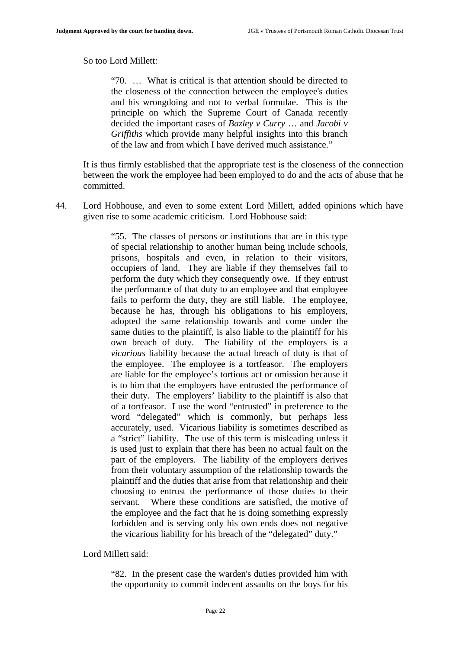### So too Lord Millett:

"70. … What is critical is that attention should be directed to the closeness of the connection between the employee's duties and his wrongdoing and not to verbal formulae. This is the principle on which the Supreme Court of Canada recently decided the important cases of *Bazley v Curry* … and *Jacobi v Griffiths* which provide many helpful insights into this branch of the law and from which I have derived much assistance."

It is thus firmly established that the appropriate test is the closeness of the connection between the work the employee had been employed to do and the acts of abuse that he committed.

44. Lord Hobhouse, and even to some extent Lord Millett, added opinions which have given rise to some academic criticism. Lord Hobhouse said:

> "55. The classes of persons or institutions that are in this type of special relationship to another human being include schools, prisons, hospitals and even, in relation to their visitors, occupiers of land. They are liable if they themselves fail to perform the duty which they consequently owe. If they entrust the performance of that duty to an employee and that employee fails to perform the duty, they are still liable. The employee, because he has, through his obligations to his employers, adopted the same relationship towards and come under the same duties to the plaintiff, is also liable to the plaintiff for his own breach of duty. The liability of the employers is a *vicarious* liability because the actual breach of duty is that of the employee. The employee is a tortfeasor. The employers are liable for the employee's tortious act or omission because it is to him that the employers have entrusted the performance of their duty. The employers' liability to the plaintiff is also that of a tortfeasor. I use the word "entrusted" in preference to the word "delegated" which is commonly, but perhaps less accurately, used. Vicarious liability is sometimes described as a "strict" liability. The use of this term is misleading unless it is used just to explain that there has been no actual fault on the part of the employers. The liability of the employers derives from their voluntary assumption of the relationship towards the plaintiff and the duties that arise from that relationship and their choosing to entrust the performance of those duties to their servant. Where these conditions are satisfied, the motive of the employee and the fact that he is doing something expressly forbidden and is serving only his own ends does not negative the vicarious liability for his breach of the "delegated" duty."

Lord Millett said:

"82. In the present case the warden's duties provided him with the opportunity to commit indecent assaults on the boys for his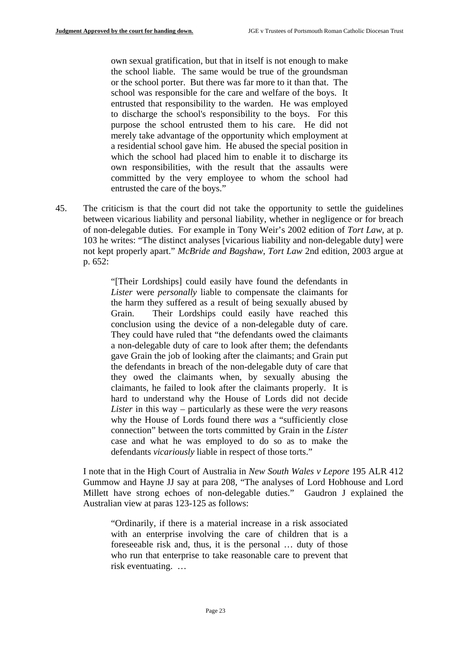own sexual gratification, but that in itself is not enough to make the school liable. The same would be true of the groundsman or the school porter. But there was far more to it than that. The school was responsible for the care and welfare of the boys. It entrusted that responsibility to the warden. He was employed to discharge the school's responsibility to the boys. For this purpose the school entrusted them to his care. He did not merely take advantage of the opportunity which employment at a residential school gave him. He abused the special position in which the school had placed him to enable it to discharge its own responsibilities, with the result that the assaults were committed by the very employee to whom the school had entrusted the care of the boys."

45. The criticism is that the court did not take the opportunity to settle the guidelines between vicarious liability and personal liability, whether in negligence or for breach of non-delegable duties. For example in Tony Weir's 2002 edition of *Tort Law*, at p. 103 he writes: "The distinct analyses [vicarious liability and non-delegable duty] were not kept properly apart." *McBride and Bagshaw*, *Tort Law* 2nd edition, 2003 argue at p. 652:

> "[Their Lordships] could easily have found the defendants in *Lister* were *personally* liable to compensate the claimants for the harm they suffered as a result of being sexually abused by Grain. Their Lordships could easily have reached this conclusion using the device of a non-delegable duty of care. They could have ruled that "the defendants owed the claimants a non-delegable duty of care to look after them; the defendants gave Grain the job of looking after the claimants; and Grain put the defendants in breach of the non-delegable duty of care that they owed the claimants when, by sexually abusing the claimants, he failed to look after the claimants properly. It is hard to understand why the House of Lords did not decide *Lister* in this way – particularly as these were the *very* reasons why the House of Lords found there *was* a "sufficiently close connection" between the torts committed by Grain in the *Lister*  case and what he was employed to do so as to make the defendants *vicariously* liable in respect of those torts."

I note that in the High Court of Australia in *New South Wales v Lepore* 195 ALR 412 Gummow and Hayne JJ say at para 208, "The analyses of Lord Hobhouse and Lord Millett have strong echoes of non-delegable duties." Gaudron J explained the Australian view at paras 123-125 as follows:

"Ordinarily, if there is a material increase in a risk associated with an enterprise involving the care of children that is a foreseeable risk and, thus, it is the personal … duty of those who run that enterprise to take reasonable care to prevent that risk eventuating. …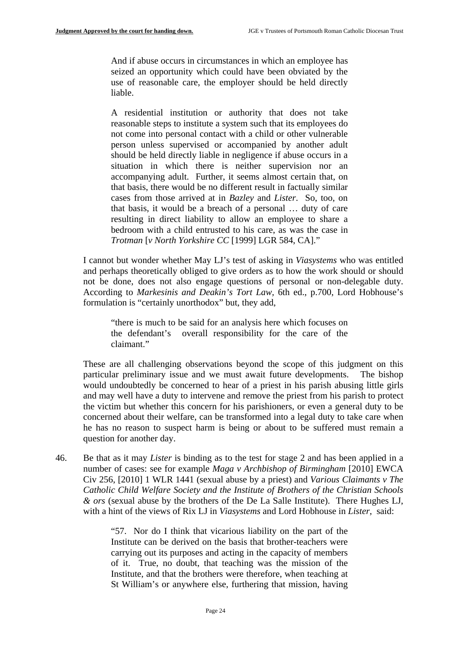And if abuse occurs in circumstances in which an employee has seized an opportunity which could have been obviated by the use of reasonable care, the employer should be held directly liable.

A residential institution or authority that does not take reasonable steps to institute a system such that its employees do not come into personal contact with a child or other vulnerable person unless supervised or accompanied by another adult should be held directly liable in negligence if abuse occurs in a situation in which there is neither supervision nor an accompanying adult. Further, it seems almost certain that, on that basis, there would be no different result in factually similar cases from those arrived at in *Bazley* and *Lister*. So, too, on that basis, it would be a breach of a personal … duty of care resulting in direct liability to allow an employee to share a bedroom with a child entrusted to his care, as was the case in *Trotman* [*v North Yorkshire CC* [1999] LGR 584, CA]."

I cannot but wonder whether May LJ's test of asking in *Viasystems* who was entitled and perhaps theoretically obliged to give orders as to how the work should or should not be done, does not also engage questions of personal or non-delegable duty. According to *Markesinis and Deakin's Tort Law,* 6th ed., p.700, Lord Hobhouse's formulation is "certainly unorthodox" but, they add,

"there is much to be said for an analysis here which focuses on the defendant's overall responsibility for the care of the claimant."

These are all challenging observations beyond the scope of this judgment on this particular preliminary issue and we must await future developments. The bishop would undoubtedly be concerned to hear of a priest in his parish abusing little girls and may well have a duty to intervene and remove the priest from his parish to protect the victim but whether this concern for his parishioners, or even a general duty to be concerned about their welfare, can be transformed into a legal duty to take care when he has no reason to suspect harm is being or about to be suffered must remain a question for another day.

46. Be that as it may *Lister* is binding as to the test for stage 2 and has been applied in a number of cases: see for example *Maga v Archbishop of Birmingham* [2010] EWCA Civ 256, [2010] 1 WLR 1441 (sexual abuse by a priest) and *Various Claimants v The Catholic Child Welfare Society and the Institute of Brothers of the Christian Schools & ors* (sexual abuse by the brothers of the De La Salle Institute). There Hughes LJ, with a hint of the views of Rix LJ in *Viasystems* and Lord Hobhouse in *Lister*, said:

> "57. Nor do I think that vicarious liability on the part of the Institute can be derived on the basis that brother-teachers were carrying out its purposes and acting in the capacity of members of it. True, no doubt, that teaching was the mission of the Institute, and that the brothers were therefore, when teaching at St William's or anywhere else, furthering that mission, having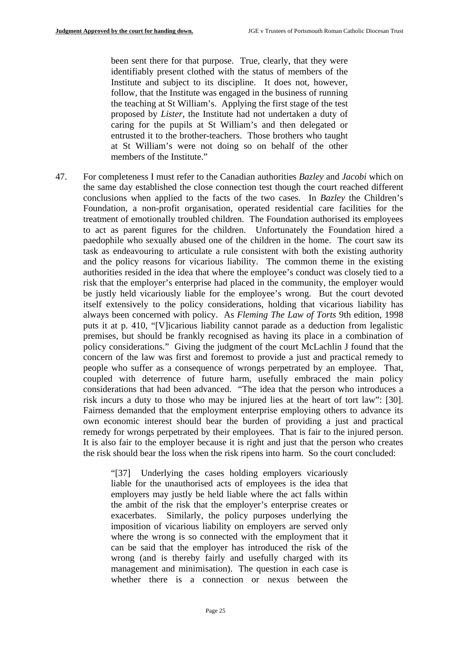been sent there for that purpose. True, clearly, that they were identifiably present clothed with the status of members of the Institute and subject to its discipline. It does not, however, follow, that the Institute was engaged in the business of running the teaching at St William's. Applying the first stage of the test proposed by *Lister*, the Institute had not undertaken a duty of caring for the pupils at St William's and then delegated or entrusted it to the brother-teachers. Those brothers who taught at St William's were not doing so on behalf of the other members of the Institute."

47. For completeness I must refer to the Canadian authorities *Bazley* and *Jacobi* which on the same day established the close connection test though the court reached different conclusions when applied to the facts of the two cases. In *Bazley* the Children's Foundation, a non-profit organisation, operated residential care facilities for the treatment of emotionally troubled children. The Foundation authorised its employees to act as parent figures for the children. Unfortunately the Foundation hired a paedophile who sexually abused one of the children in the home. The court saw its task as endeavouring to articulate a rule consistent with both the existing authority and the policy reasons for vicarious liability. The common theme in the existing authorities resided in the idea that where the employee's conduct was closely tied to a risk that the employer's enterprise had placed in the community, the employer would be justly held vicariously liable for the employee's wrong. But the court devoted itself extensively to the policy considerations, holding that vicarious liability has always been concerned with policy. As *Fleming The Law of Torts* 9th edition, 1998 puts it at p. 410, "[V]icarious liability cannot parade as a deduction from legalistic premises, but should be frankly recognised as having its place in a combination of policy considerations." Giving the judgment of the court McLachlin J found that the concern of the law was first and foremost to provide a just and practical remedy to people who suffer as a consequence of wrongs perpetrated by an employee. That, coupled with deterrence of future harm, usefully embraced the main policy considerations that had been advanced. "The idea that the person who introduces a risk incurs a duty to those who may be injured lies at the heart of tort law": [30]. Fairness demanded that the employment enterprise employing others to advance its own economic interest should bear the burden of providing a just and practical remedy for wrongs perpetrated by their employees. That is fair to the injured person. It is also fair to the employer because it is right and just that the person who creates the risk should bear the loss when the risk ripens into harm. So the court concluded:

> "[37] Underlying the cases holding employers vicariously liable for the unauthorised acts of employees is the idea that employers may justly be held liable where the act falls within the ambit of the risk that the employer's enterprise creates or exacerbates. Similarly, the policy purposes underlying the imposition of vicarious liability on employers are served only where the wrong is so connected with the employment that it can be said that the employer has introduced the risk of the wrong (and is thereby fairly and usefully charged with its management and minimisation). The question in each case is whether there is a connection or nexus between the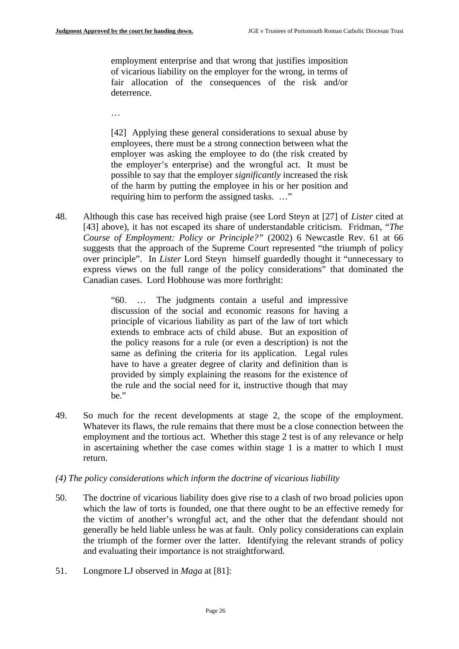employment enterprise and that wrong that justifies imposition of vicarious liability on the employer for the wrong, in terms of fair allocation of the consequences of the risk and/or deterrence.

…

[42] Applying these general considerations to sexual abuse by employees, there must be a strong connection between what the employer was asking the employee to do (the risk created by the employer's enterprise) and the wrongful act. It must be possible to say that the employer *significantly* increased the risk of the harm by putting the employee in his or her position and requiring him to perform the assigned tasks. …"

48. Although this case has received high praise (see Lord Steyn at [27] of *Lister* cited at [43] above), it has not escaped its share of understandable criticism. Fridman, "*The Course of Employment: Policy or Principle?"* (2002) 6 Newcastle Rev. 61 at 66 suggests that the approach of the Supreme Court represented "the triumph of policy over principle". In *Lister* Lord Steyn himself guardedly thought it "unnecessary to express views on the full range of the policy considerations" that dominated the Canadian cases. Lord Hobhouse was more forthright:

> "60. … The judgments contain a useful and impressive discussion of the social and economic reasons for having a principle of vicarious liability as part of the law of tort which extends to embrace acts of child abuse. But an exposition of the policy reasons for a rule (or even a description) is not the same as defining the criteria for its application. Legal rules have to have a greater degree of clarity and definition than is provided by simply explaining the reasons for the existence of the rule and the social need for it, instructive though that may be."

- 49. So much for the recent developments at stage 2, the scope of the employment. Whatever its flaws, the rule remains that there must be a close connection between the employment and the tortious act. Whether this stage 2 test is of any relevance or help in ascertaining whether the case comes within stage 1 is a matter to which I must return.
- *(4) The policy considerations which inform the doctrine of vicarious liability*
- 50. The doctrine of vicarious liability does give rise to a clash of two broad policies upon which the law of torts is founded, one that there ought to be an effective remedy for the victim of another's wrongful act, and the other that the defendant should not generally be held liable unless he was at fault. Only policy considerations can explain the triumph of the former over the latter. Identifying the relevant strands of policy and evaluating their importance is not straightforward.
- 51. Longmore LJ observed in *Maga* at [81]: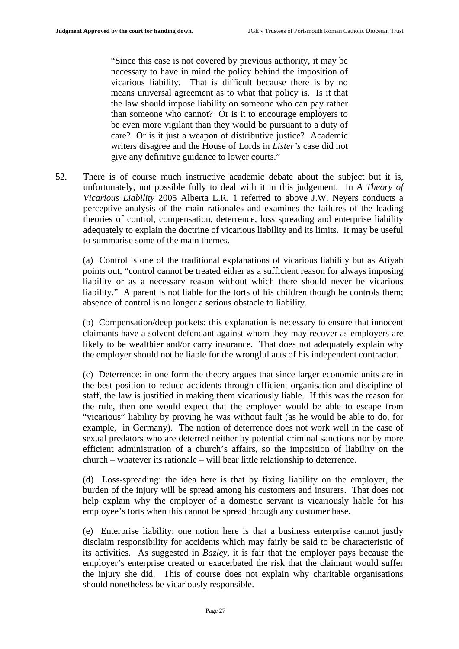"Since this case is not covered by previous authority, it may be necessary to have in mind the policy behind the imposition of vicarious liability. That is difficult because there is by no means universal agreement as to what that policy is. Is it that the law should impose liability on someone who can pay rather than someone who cannot? Or is it to encourage employers to be even more vigilant than they would be pursuant to a duty of care? Or is it just a weapon of distributive justice? Academic writers disagree and the House of Lords in *Lister's* case did not give any definitive guidance to lower courts."

52. There is of course much instructive academic debate about the subject but it is, unfortunately, not possible fully to deal with it in this judgement. In *A Theory of Vicarious Liability* 2005 Alberta L.R. 1 referred to above J.W. Neyers conducts a perceptive analysis of the main rationales and examines the failures of the leading theories of control, compensation, deterrence, loss spreading and enterprise liability adequately to explain the doctrine of vicarious liability and its limits. It may be useful to summarise some of the main themes.

(a) Control is one of the traditional explanations of vicarious liability but as Atiyah points out, "control cannot be treated either as a sufficient reason for always imposing liability or as a necessary reason without which there should never be vicarious liability." A parent is not liable for the torts of his children though he controls them; absence of control is no longer a serious obstacle to liability.

(b) Compensation/deep pockets: this explanation is necessary to ensure that innocent claimants have a solvent defendant against whom they may recover as employers are likely to be wealthier and/or carry insurance. That does not adequately explain why the employer should not be liable for the wrongful acts of his independent contractor.

(c) Deterrence: in one form the theory argues that since larger economic units are in the best position to reduce accidents through efficient organisation and discipline of staff, the law is justified in making them vicariously liable. If this was the reason for the rule, then one would expect that the employer would be able to escape from "vicarious" liability by proving he was without fault (as he would be able to do, for example, in Germany). The notion of deterrence does not work well in the case of sexual predators who are deterred neither by potential criminal sanctions nor by more efficient administration of a church's affairs, so the imposition of liability on the church – whatever its rationale – will bear little relationship to deterrence.

(d) Loss-spreading: the idea here is that by fixing liability on the employer, the burden of the injury will be spread among his customers and insurers. That does not help explain why the employer of a domestic servant is vicariously liable for his employee's torts when this cannot be spread through any customer base.

should nonetheless be vicariously responsible.<br>  $P_{\text{age 27}}$ (e) Enterprise liability: one notion here is that a business enterprise cannot justly disclaim responsibility for accidents which may fairly be said to be characteristic of its activities. As suggested in *Bazley*, it is fair that the employer pays because the employer's enterprise created or exacerbated the risk that the claimant would suffer the injury she did. This of course does not explain why charitable organisations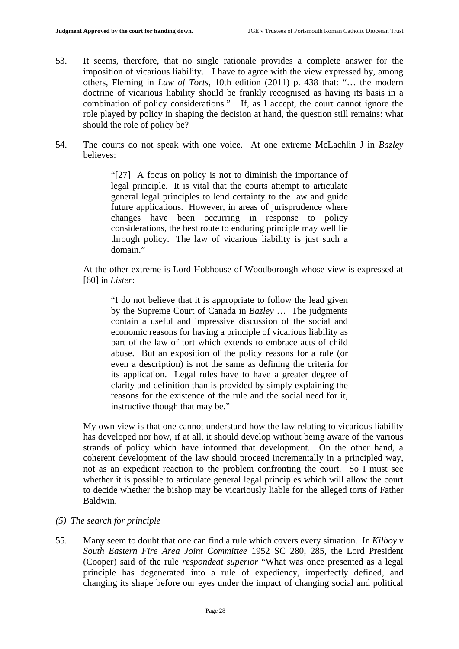- 53. It seems, therefore, that no single rationale provides a complete answer for the imposition of vicarious liability. I have to agree with the view expressed by, among others, Fleming in *Law of Torts*, 10th edition (2011) p. 438 that: "… the modern doctrine of vicarious liability should be frankly recognised as having its basis in a combination of policy considerations." If, as I accept, the court cannot ignore the role played by policy in shaping the decision at hand, the question still remains: what should the role of policy be?
- 54. The courts do not speak with one voice. At one extreme McLachlin J in *Bazley*  believes:

"[27] A focus on policy is not to diminish the importance of legal principle. It is vital that the courts attempt to articulate general legal principles to lend certainty to the law and guide future applications. However, in areas of jurisprudence where changes have been occurring in response to policy considerations, the best route to enduring principle may well lie through policy. The law of vicarious liability is just such a domain."

At the other extreme is Lord Hobhouse of Woodborough whose view is expressed at [60] in *Lister*:

"I do not believe that it is appropriate to follow the lead given by the Supreme Court of Canada in *Bazley* … The judgments contain a useful and impressive discussion of the social and economic reasons for having a principle of vicarious liability as part of the law of tort which extends to embrace acts of child abuse. But an exposition of the policy reasons for a rule (or even a description) is not the same as defining the criteria for its application. Legal rules have to have a greater degree of clarity and definition than is provided by simply explaining the reasons for the existence of the rule and the social need for it, instructive though that may be."

My own view is that one cannot understand how the law relating to vicarious liability has developed nor how, if at all, it should develop without being aware of the various strands of policy which have informed that development. On the other hand, a coherent development of the law should proceed incrementally in a principled way, not as an expedient reaction to the problem confronting the court. So I must see whether it is possible to articulate general legal principles which will allow the court to decide whether the bishop may be vicariously liable for the alleged torts of Father Baldwin.

# *(5) The search for principle*

55. Many seem to doubt that one can find a rule which covers every situation. In *Kilboy v South Eastern Fire Area Joint Committee* 1952 SC 280, 285, the Lord President (Cooper) said of the rule *respondeat superior* "What was once presented as a legal principle has degenerated into a rule of expediency, imperfectly defined, and changing its shape before our eyes under the impact of changing social and political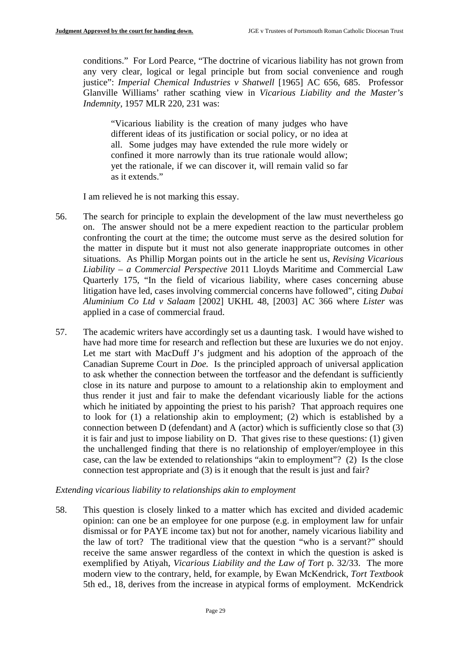conditions." For Lord Pearce, "The doctrine of vicarious liability has not grown from any very clear, logical or legal principle but from social convenience and rough justice": *Imperial Chemical Industries v Shatwell* [1965] AC 656, 685. Professor Glanville Williams' rather scathing view in *Vicarious Liability and the Master's Indemnity*, 1957 MLR 220, 231 was:

"Vicarious liability is the creation of many judges who have different ideas of its justification or social policy, or no idea at all. Some judges may have extended the rule more widely or confined it more narrowly than its true rationale would allow; yet the rationale, if we can discover it, will remain valid so far as it extends."

I am relieved he is not marking this essay.

- 56. The search for principle to explain the development of the law must nevertheless go on. The answer should not be a mere expedient reaction to the particular problem confronting the court at the time; the outcome must serve as the desired solution for the matter in dispute but it must not also generate inappropriate outcomes in other situations. As Phillip Morgan points out in the article he sent us, *Revising Vicarious Liability – a Commercial Perspective* 2011 Lloyds Maritime and Commercial Law Quarterly 175, "In the field of vicarious liability, where cases concerning abuse litigation have led, cases involving commercial concerns have followed", citing *Dubai Aluminium Co Ltd v Salaam* [2002] UKHL 48, [2003] AC 366 where *Lister* was applied in a case of commercial fraud.
- connection test appropriate and (3) is it enough that the result is just and fair? 57. The academic writers have accordingly set us a daunting task. I would have wished to have had more time for research and reflection but these are luxuries we do not enjoy. Let me start with MacDuff J's judgment and his adoption of the approach of the Canadian Supreme Court in *Doe.* Is the principled approach of universal application to ask whether the connection between the tortfeasor and the defendant is sufficiently close in its nature and purpose to amount to a relationship akin to employment and thus render it just and fair to make the defendant vicariously liable for the actions which he initiated by appointing the priest to his parish? That approach requires one to look for (1) a relationship akin to employment; (2) which is established by a connection between D (defendant) and A (actor) which is sufficiently close so that (3) it is fair and just to impose liability on D. That gives rise to these questions: (1) given the unchallenged finding that there is no relationship of employer/employee in this case, can the law be extended to relationships "akin to employment"? (2) Is the close

## *Extending vicarious liability to relationships akin to employment*

58. This question is closely linked to a matter which has excited and divided academic opinion: can one be an employee for one purpose (e.g. in employment law for unfair dismissal or for PAYE income tax) but not for another, namely vicarious liability and the law of tort? The traditional view that the question "who is a servant?" should receive the same answer regardless of the context in which the question is asked is exemplified by Atiyah, *Vicarious Liability and the Law of Tort* p. 32/33. The more modern view to the contrary, held, for example, by Ewan McKendrick, *Tort Textbook*  5th ed., 18, derives from the increase in atypical forms of employment. McKendrick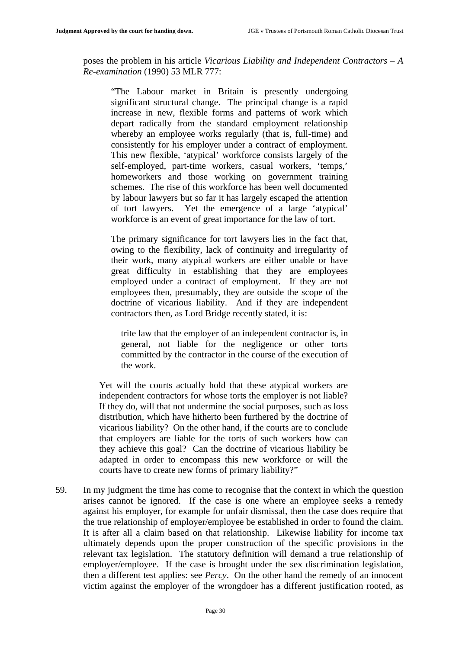poses the problem in his article *Vicarious Liability and Independent Contractors – A Re-examination* (1990) 53 MLR 777:

"The Labour market in Britain is presently undergoing significant structural change. The principal change is a rapid increase in new, flexible forms and patterns of work which depart radically from the standard employment relationship whereby an employee works regularly (that is, full-time) and consistently for his employer under a contract of employment. This new flexible, 'atypical' workforce consists largely of the self-employed, part-time workers, casual workers, 'temps,' homeworkers and those working on government training schemes. The rise of this workforce has been well documented by labour lawyers but so far it has largely escaped the attention of tort lawyers. Yet the emergence of a large 'atypical' workforce is an event of great importance for the law of tort.

The primary significance for tort lawyers lies in the fact that, owing to the flexibility, lack of continuity and irregularity of their work, many atypical workers are either unable or have great difficulty in establishing that they are employees employed under a contract of employment. If they are not employees then, presumably, they are outside the scope of the doctrine of vicarious liability. And if they are independent contractors then, as Lord Bridge recently stated, it is:

trite law that the employer of an independent contractor is, in general, not liable for the negligence or other torts committed by the contractor in the course of the execution of the work.

Yet will the courts actually hold that these atypical workers are independent contractors for whose torts the employer is not liable? If they do, will that not undermine the social purposes, such as loss distribution, which have hitherto been furthered by the doctrine of vicarious liability? On the other hand, if the courts are to conclude that employers are liable for the torts of such workers how can they achieve this goal? Can the doctrine of vicarious liability be adapted in order to encompass this new workforce or will the courts have to create new forms of primary liability?"

the true relationship of employer/employee be established in order to found the claim. relevant tax legislation. The statutory definition will demand a true relationship of 59. In my judgment the time has come to recognise that the context in which the question arises cannot be ignored. If the case is one where an employee seeks a remedy against his employer, for example for unfair dismissal, then the case does require that It is after all a claim based on that relationship. Likewise liability for income tax ultimately depends upon the proper construction of the specific provisions in the employer/employee. If the case is brought under the sex discrimination legislation, then a different test applies: see *Percy*. On the other hand the remedy of an innocent victim against the employer of the wrongdoer has a different justification rooted, as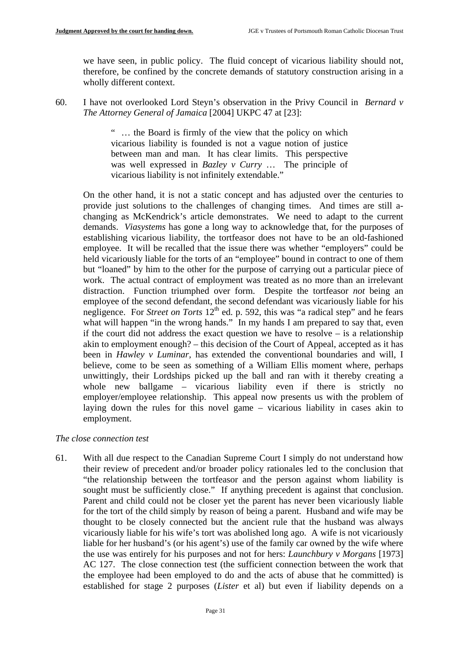we have seen, in public policy. The fluid concept of vicarious liability should not, therefore, be confined by the concrete demands of statutory construction arising in a wholly different context.

60. I have not overlooked Lord Steyn's observation in the Privy Council in *Bernard v The Attorney General of Jamaica* [2004] UKPC 47 at [23]:

> " … the Board is firmly of the view that the policy on which vicarious liability is founded is not a vague notion of justice between man and man. It has clear limits. This perspective was well expressed in *Bazley v Curry* … The principle of vicarious liability is not infinitely extendable."

On the other hand, it is not a static concept and has adjusted over the centuries to provide just solutions to the challenges of changing times. And times are still achanging as McKendrick's article demonstrates. We need to adapt to the current demands. *Viasystems* has gone a long way to acknowledge that, for the purposes of establishing vicarious liability, the tortfeasor does not have to be an old-fashioned employee. It will be recalled that the issue there was whether "employers" could be held vicariously liable for the torts of an "employee" bound in contract to one of them but "loaned" by him to the other for the purpose of carrying out a particular piece of work. The actual contract of employment was treated as no more than an irrelevant distraction. Function triumphed over form. Despite the tortfeasor *not* being an employee of the second defendant, the second defendant was vicariously liable for his negligence. For *Street on Torts* 12<sup>th</sup> ed. p. 592, this was "a radical step" and he fears what will happen "in the wrong hands." In my hands I am prepared to say that, even if the court did not address the exact question we have to resolve  $-$  is a relationship akin to employment enough? – this decision of the Court of Appeal, accepted as it has been in *Hawley v Luminar,* has extended the conventional boundaries and will, I believe, come to be seen as something of a William Ellis moment where, perhaps unwittingly, their Lordships picked up the ball and ran with it thereby creating a whole new ballgame – vicarious liability even if there is strictly no employer/employee relationship. This appeal now presents us with the problem of laying down the rules for this novel game – vicarious liability in cases akin to employment.

## *The close connection test*

61. With all due respect to the Canadian Supreme Court I simply do not understand how their review of precedent and/or broader policy rationales led to the conclusion that "the relationship between the tortfeasor and the person against whom liability is sought must be sufficiently close." If anything precedent is against that conclusion. Parent and child could not be closer yet the parent has never been vicariously liable for the tort of the child simply by reason of being a parent. Husband and wife may be thought to be closely connected but the ancient rule that the husband was always vicariously liable for his wife's tort was abolished long ago. A wife is not vicariously liable for her husband's (or his agent's) use of the family car owned by the wife where the use was entirely for his purposes and not for hers: *Launchbury v Morgans* [1973] AC 127. The close connection test (the sufficient connection between the work that the employee had been employed to do and the acts of abuse that he committed) is established for stage 2 purposes (*Lister* et al) but even if liability depends on a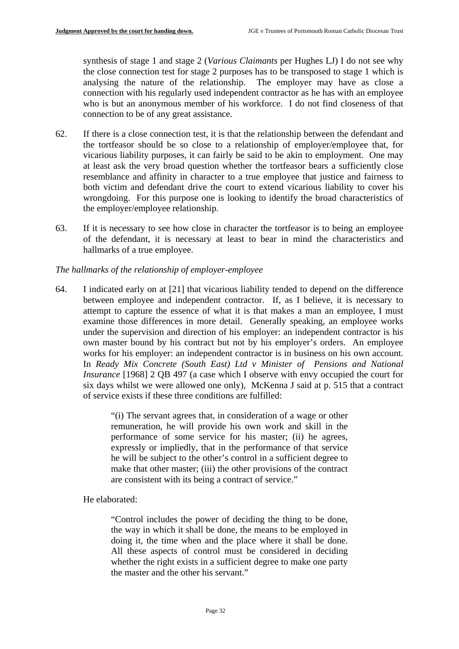synthesis of stage 1 and stage 2 (*Various Claimants* per Hughes LJ) I do not see why the close connection test for stage 2 purposes has to be transposed to stage 1 which is analysing the nature of the relationship. The employer may have as close a connection with his regularly used independent contractor as he has with an employee who is but an anonymous member of his workforce. I do not find closeness of that connection to be of any great assistance.

- 62. If there is a close connection test, it is that the relationship between the defendant and the tortfeasor should be so close to a relationship of employer/employee that, for vicarious liability purposes, it can fairly be said to be akin to employment. One may at least ask the very broad question whether the tortfeasor bears a sufficiently close resemblance and affinity in character to a true employee that justice and fairness to both victim and defendant drive the court to extend vicarious liability to cover his wrongdoing. For this purpose one is looking to identify the broad characteristics of the employer/employee relationship.
- 63. If it is necessary to see how close in character the tortfeasor is to being an employee of the defendant, it is necessary at least to bear in mind the characteristics and hallmarks of a true employee.

## *The hallmarks of the relationship of employer-employee*

 In *Ready Mix Concrete (South East) Ltd v Minister of Pensions and National*  64. I indicated early on at [21] that vicarious liability tended to depend on the difference between employee and independent contractor. If, as I believe, it is necessary to attempt to capture the essence of what it is that makes a man an employee, I must examine those differences in more detail. Generally speaking, an employee works under the supervision and direction of his employer: an independent contractor is his own master bound by his contract but not by his employer's orders. An employee works for his employer: an independent contractor is in business on his own account. *Insurance* [1968] 2 QB 497 (a case which I observe with envy occupied the court for six days whilst we were allowed one only), McKenna J said at p. 515 that a contract of service exists if these three conditions are fulfilled:

> "(i) The servant agrees that, in consideration of a wage or other remuneration, he will provide his own work and skill in the performance of some service for his master; (ii) he agrees, expressly or impliedly, that in the performance of that service he will be subject to the other's control in a sufficient degree to make that other master; (iii) the other provisions of the contract are consistent with its being a contract of service."

He elaborated:

"Control includes the power of deciding the thing to be done, the way in which it shall be done, the means to be employed in doing it, the time when and the place where it shall be done. All these aspects of control must be considered in deciding whether the right exists in a sufficient degree to make one party the master and the other his servant."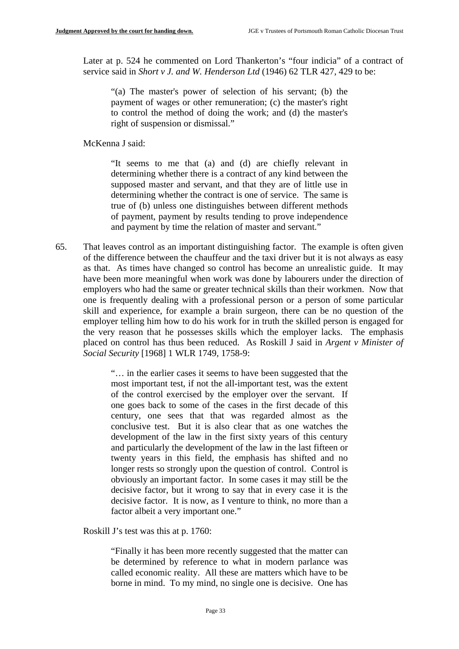Later at p. 524 he commented on Lord Thankerton's "four indicia" of a contract of service said in *Short v J. and W. Henderson Ltd* (1946) 62 TLR 427, 429 to be:

"(a) The master's power of selection of his servant; (b) the payment of wages or other remuneration; (c) the master's right to control the method of doing the work; and (d) the master's right of suspension or dismissal."

McKenna J said:

"It seems to me that (a) and (d) are chiefly relevant in determining whether there is a contract of any kind between the supposed master and servant, and that they are of little use in determining whether the contract is one of service. The same is true of (b) unless one distinguishes between different methods of payment, payment by results tending to prove independence and payment by time the relation of master and servant."

65. That leaves control as an important distinguishing factor. The example is often given of the difference between the chauffeur and the taxi driver but it is not always as easy as that. As times have changed so control has become an unrealistic guide. It may have been more meaningful when work was done by labourers under the direction of employers who had the same or greater technical skills than their workmen. Now that one is frequently dealing with a professional person or a person of some particular skill and experience, for example a brain surgeon, there can be no question of the employer telling him how to do his work for in truth the skilled person is engaged for the very reason that he possesses skills which the employer lacks. The emphasis placed on control has thus been reduced. As Roskill J said in *Argent v Minister of Social Security* [1968] 1 WLR 1749, 1758-9:

> "… in the earlier cases it seems to have been suggested that the most important test, if not the all-important test, was the extent of the control exercised by the employer over the servant. If one goes back to some of the cases in the first decade of this century, one sees that that was regarded almost as the conclusive test. But it is also clear that as one watches the development of the law in the first sixty years of this century and particularly the development of the law in the last fifteen or twenty years in this field, the emphasis has shifted and no longer rests so strongly upon the question of control. Control is obviously an important factor. In some cases it may still be the decisive factor, but it wrong to say that in every case it is the decisive factor. It is now, as I venture to think, no more than a factor albeit a very important one."

Roskill J's test was this at p. 1760:

"Finally it has been more recently suggested that the matter can be determined by reference to what in modern parlance was called economic reality. All these are matters which have to be borne in mind. To my mind, no single one is decisive. One has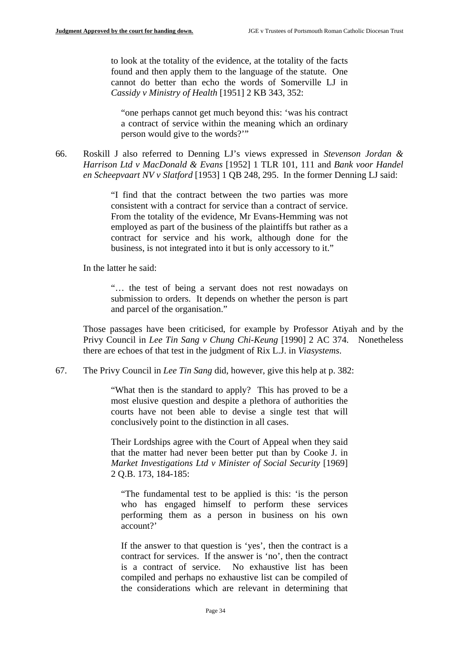to look at the totality of the evidence, at the totality of the facts found and then apply them to the language of the statute. One cannot do better than echo the words of Somerville LJ in *Cassidy v Ministry of Health* [1951] 2 KB 343, 352:

"one perhaps cannot get much beyond this: 'was his contract a contract of service within the meaning which an ordinary person would give to the words?'"

66. Roskill J also referred to Denning LJ's views expressed in *Stevenson Jordan & Harrison Ltd v MacDonald & Evans* [1952] 1 TLR 101, 111 and *Bank voor Handel en Scheepvaart NV v Slatford* [1953] 1 QB 248, 295. In the former Denning LJ said:

> "I find that the contract between the two parties was more consistent with a contract for service than a contract of service. From the totality of the evidence, Mr Evans-Hemming was not employed as part of the business of the plaintiffs but rather as a contract for service and his work, although done for the business, is not integrated into it but is only accessory to it."

In the latter he said:

"… the test of being a servant does not rest nowadays on submission to orders. It depends on whether the person is part and parcel of the organisation."

Those passages have been criticised, for example by Professor Atiyah and by the Privy Council in *Lee Tin Sang v Chung Chi-Keung* [1990] 2 AC 374. Nonetheless there are echoes of that test in the judgment of Rix L.J. in *Viasystems*.

67. The Privy Council in *Lee Tin Sang* did, however, give this help at p. 382:

"What then is the standard to apply? This has proved to be a most elusive question and despite a plethora of authorities the courts have not been able to devise a single test that will conclusively point to the distinction in all cases.

Their Lordships agree with the Court of Appeal when they said that the matter had never been better put than by Cooke J. in *Market Investigations Ltd v Minister of Social Security* [1969] 2 Q.B. 173, 184-185:

"The fundamental test to be applied is this: 'is the person who has engaged himself to perform these services performing them as a person in business on his own account?'

If the answer to that question is 'yes', then the contract is a contract for services. If the answer is 'no', then the contract is a contract of service. No exhaustive list has been compiled and perhaps no exhaustive list can be compiled of the considerations which are relevant in determining that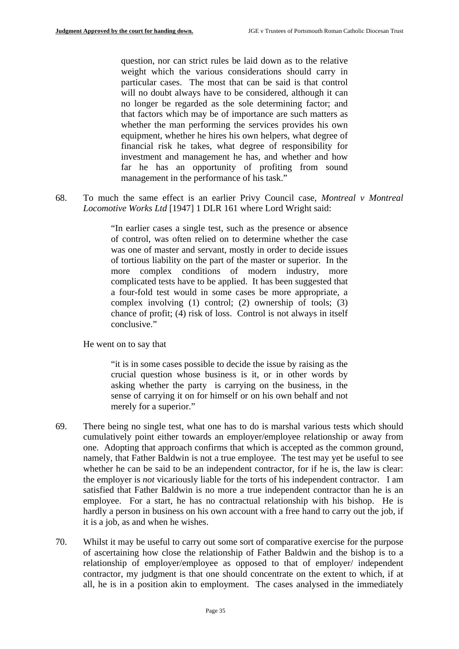question, nor can strict rules be laid down as to the relative weight which the various considerations should carry in particular cases. The most that can be said is that control will no doubt always have to be considered, although it can no longer be regarded as the sole determining factor; and that factors which may be of importance are such matters as whether the man performing the services provides his own equipment, whether he hires his own helpers, what degree of financial risk he takes, what degree of responsibility for investment and management he has, and whether and how far he has an opportunity of profiting from sound management in the performance of his task."

68. To much the same effect is an earlier Privy Council case, *Montreal v Montreal Locomotive Works Ltd* [1947] 1 DLR 161 where Lord Wright said:

> "In earlier cases a single test, such as the presence or absence of control, was often relied on to determine whether the case was one of master and servant, mostly in order to decide issues of tortious liability on the part of the master or superior. In the more complex conditions of modern industry, more complicated tests have to be applied. It has been suggested that a four-fold test would in some cases be more appropriate, a complex involving (1) control; (2) ownership of tools; (3) chance of profit; (4) risk of loss. Control is not always in itself conclusive."

He went on to say that

"it is in some cases possible to decide the issue by raising as the crucial question whose business is it, or in other words by asking whether the party is carrying on the business, in the sense of carrying it on for himself or on his own behalf and not merely for a superior."

- whether he can be said to be an independent contractor, for if he is, the law is clear. 69. There being no single test, what one has to do is marshal various tests which should cumulatively point either towards an employer/employee relationship or away from one. Adopting that approach confirms that which is accepted as the common ground, namely, that Father Baldwin is not a true employee. The test may yet be useful to see the employer is *not* vicariously liable for the torts of his independent contractor. I am satisfied that Father Baldwin is no more a true independent contractor than he is an employee. For a start, he has no contractual relationship with his bishop. He is hardly a person in business on his own account with a free hand to carry out the job, if it is a job, as and when he wishes.
- 70. Whilst it may be useful to carry out some sort of comparative exercise for the purpose of ascertaining how close the relationship of Father Baldwin and the bishop is to a relationship of employer/employee as opposed to that of employer/ independent contractor, my judgment is that one should concentrate on the extent to which, if at all, he is in a position akin to employment. The cases analysed in the immediately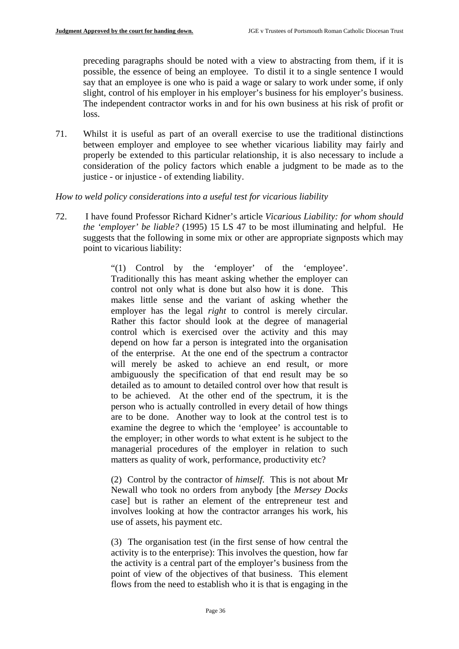preceding paragraphs should be noted with a view to abstracting from them, if it is possible, the essence of being an employee. To distil it to a single sentence I would say that an employee is one who is paid a wage or salary to work under some, if only slight, control of his employer in his employer's business for his employer's business. The independent contractor works in and for his own business at his risk of profit or loss.

71. Whilst it is useful as part of an overall exercise to use the traditional distinctions between employer and employee to see whether vicarious liability may fairly and properly be extended to this particular relationship, it is also necessary to include a consideration of the policy factors which enable a judgment to be made as to the justice - or injustice - of extending liability.

## *How to weld policy considerations into a useful test for vicarious liability*

72. I have found Professor Richard Kidner's article *Vicarious Liability: for whom should the 'employer' be liable?* (1995) 15 LS 47 to be most illuminating and helpful. He suggests that the following in some mix or other are appropriate signposts which may point to vicarious liability:

> matters as quality of work, performance, productivity etc? "(1) Control by the 'employer' of the 'employee'. Traditionally this has meant asking whether the employer can control not only what is done but also how it is done. This makes little sense and the variant of asking whether the employer has the legal *right* to control is merely circular. Rather this factor should look at the degree of managerial control which is exercised over the activity and this may depend on how far a person is integrated into the organisation of the enterprise. At the one end of the spectrum a contractor will merely be asked to achieve an end result, or more ambiguously the specification of that end result may be so detailed as to amount to detailed control over how that result is to be achieved. At the other end of the spectrum, it is the person who is actually controlled in every detail of how things are to be done. Another way to look at the control test is to examine the degree to which the 'employee' is accountable to the employer; in other words to what extent is he subject to the managerial procedures of the employer in relation to such

> (2) Control by the contractor of *himself*. This is not about Mr Newall who took no orders from anybody [the *Mersey Docks*  case] but is rather an element of the entrepreneur test and involves looking at how the contractor arranges his work, his use of assets, his payment etc.

> (3) The organisation test (in the first sense of how central the activity is to the enterprise): This involves the question, how far the activity is a central part of the employer's business from the point of view of the objectives of that business. This element flows from the need to establish who it is that is engaging in the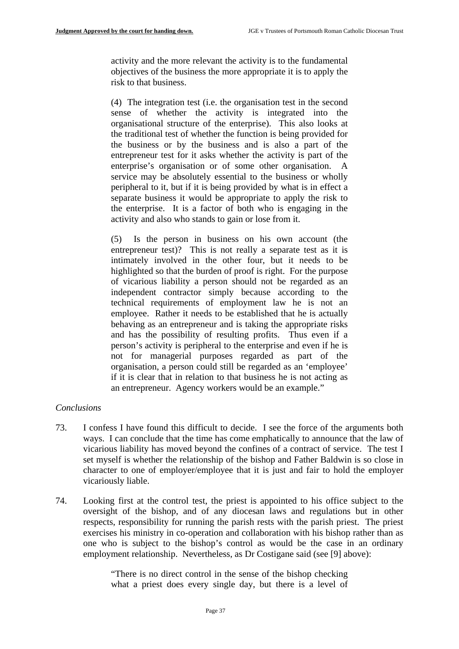activity and the more relevant the activity is to the fundamental objectives of the business the more appropriate it is to apply the risk to that business.

(4) The integration test (i.e. the organisation test in the second sense of whether the activity is integrated into the organisational structure of the enterprise). This also looks at the traditional test of whether the function is being provided for the business or by the business and is also a part of the entrepreneur test for it asks whether the activity is part of the enterprise's organisation or of some other organisation. A service may be absolutely essential to the business or wholly peripheral to it, but if it is being provided by what is in effect a separate business it would be appropriate to apply the risk to the enterprise. It is a factor of both who is engaging in the activity and also who stands to gain or lose from it.

(5) Is the person in business on his own account (the entrepreneur test)? This is not really a separate test as it is intimately involved in the other four, but it needs to be highlighted so that the burden of proof is right. For the purpose of vicarious liability a person should not be regarded as an independent contractor simply because according to the technical requirements of employment law he is not an employee. Rather it needs to be established that he is actually behaving as an entrepreneur and is taking the appropriate risks and has the possibility of resulting profits. Thus even if a person's activity is peripheral to the enterprise and even if he is not for managerial purposes regarded as part of the organisation, a person could still be regarded as an 'employee' if it is clear that in relation to that business he is not acting as an entrepreneur. Agency workers would be an example."

## *Conclusions*

- 73. I confess I have found this difficult to decide. I see the force of the arguments both ways. I can conclude that the time has come emphatically to announce that the law of vicarious liability has moved beyond the confines of a contract of service. The test I set myself is whether the relationship of the bishop and Father Baldwin is so close in character to one of employer/employee that it is just and fair to hold the employer vicariously liable.
- 74. Looking first at the control test, the priest is appointed to his office subject to the oversight of the bishop, and of any diocesan laws and regulations but in other respects, responsibility for running the parish rests with the parish priest. The priest exercises his ministry in co-operation and collaboration with his bishop rather than as one who is subject to the bishop's control as would be the case in an ordinary employment relationship. Nevertheless, as Dr Costigane said (see [9] above):

"There is no direct control in the sense of the bishop checking what a priest does every single day, but there is a level of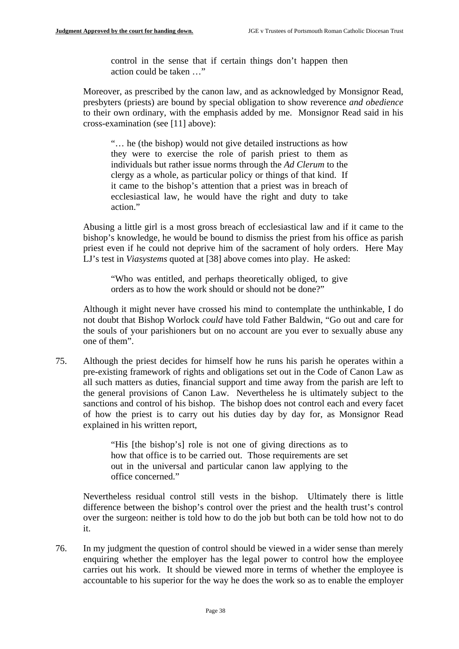control in the sense that if certain things don't happen then action could be taken …"

Moreover, as prescribed by the canon law, and as acknowledged by Monsignor Read, presbyters (priests) are bound by special obligation to show reverence *and obedience*  to their own ordinary, with the emphasis added by me. Monsignor Read said in his cross-examination (see [11] above):

"… he (the bishop) would not give detailed instructions as how they were to exercise the role of parish priest to them as individuals but rather issue norms through the *Ad Clerum* to the clergy as a whole, as particular policy or things of that kind. If it came to the bishop's attention that a priest was in breach of ecclesiastical law, he would have the right and duty to take action."

Abusing a little girl is a most gross breach of ecclesiastical law and if it came to the bishop's knowledge, he would be bound to dismiss the priest from his office as parish priest even if he could not deprive him of the sacrament of holy orders. Here May LJ's test in *Viasystems* quoted at [38] above comes into play. He asked:

"Who was entitled, and perhaps theoretically obliged, to give orders as to how the work should or should not be done?"

Although it might never have crossed his mind to contemplate the unthinkable, I do not doubt that Bishop Worlock *could* have told Father Baldwin, "Go out and care for the souls of your parishioners but on no account are you ever to sexually abuse any one of them".

75. Although the priest decides for himself how he runs his parish he operates within a pre-existing framework of rights and obligations set out in the Code of Canon Law as all such matters as duties, financial support and time away from the parish are left to the general provisions of Canon Law. Nevertheless he is ultimately subject to the sanctions and control of his bishop. The bishop does not control each and every facet of how the priest is to carry out his duties day by day for, as Monsignor Read explained in his written report,

> "His [the bishop's] role is not one of giving directions as to how that office is to be carried out. Those requirements are set out in the universal and particular canon law applying to the office concerned."

Nevertheless residual control still vests in the bishop. Ultimately there is little difference between the bishop's control over the priest and the health trust's control over the surgeon: neither is told how to do the job but both can be told how not to do it.

76. In my judgment the question of control should be viewed in a wider sense than merely enquiring whether the employer has the legal power to control how the employee carries out his work. It should be viewed more in terms of whether the employee is accountable to his superior for the way he does the work so as to enable the employer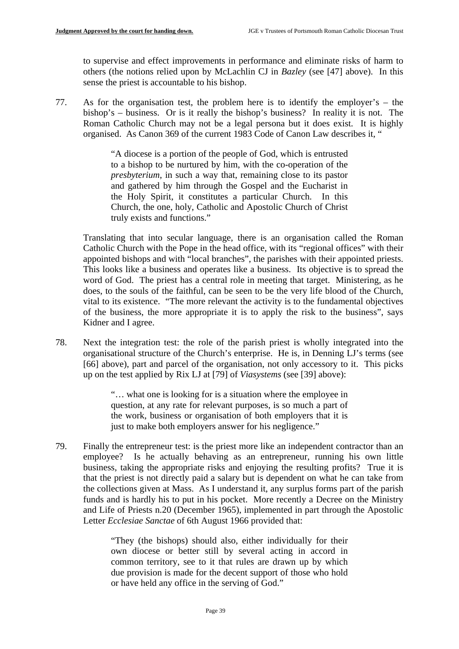to supervise and effect improvements in performance and eliminate risks of harm to others (the notions relied upon by McLachlin CJ in *Bazley* (see [47] above). In this sense the priest is accountable to his bishop.

77. As for the organisation test, the problem here is to identify the employer's  $-$  the bishop's – business. Or is it really the bishop's business? In reality it is not. The Roman Catholic Church may not be a legal persona but it does exist. It is highly organised. As Canon 369 of the current 1983 Code of Canon Law describes it, "

> "A diocese is a portion of the people of God, which is entrusted to a bishop to be nurtured by him, with the co-operation of the *presbyterium*, in such a way that, remaining close to its pastor and gathered by him through the Gospel and the Eucharist in the Holy Spirit, it constitutes a particular Church. In this Church, the one, holy, Catholic and Apostolic Church of Christ truly exists and functions."

Translating that into secular language, there is an organisation called the Roman Catholic Church with the Pope in the head office, with its "regional offices" with their appointed bishops and with "local branches", the parishes with their appointed priests. This looks like a business and operates like a business. Its objective is to spread the word of God. The priest has a central role in meeting that target. Ministering, as he does, to the souls of the faithful, can be seen to be the very life blood of the Church, vital to its existence. "The more relevant the activity is to the fundamental objectives of the business, the more appropriate it is to apply the risk to the business", says Kidner and I agree.

78. Next the integration test: the role of the parish priest is wholly integrated into the organisational structure of the Church's enterprise. He is, in Denning LJ's terms (see [66] above), part and parcel of the organisation, not only accessory to it. This picks up on the test applied by Rix LJ at [79] of *Viasystems* (see [39] above):

> "… what one is looking for is a situation where the employee in question, at any rate for relevant purposes, is so much a part of the work, business or organisation of both employers that it is just to make both employers answer for his negligence."

79. Finally the entrepreneur test: is the priest more like an independent contractor than an employee? Is he actually behaving as an entrepreneur, running his own little business, taking the appropriate risks and enjoying the resulting profits? True it is that the priest is not directly paid a salary but is dependent on what he can take from the collections given at Mass. As I understand it, any surplus forms part of the parish funds and is hardly his to put in his pocket. More recently a Decree on the Ministry and Life of Priests n.20 (December 1965), implemented in part through the Apostolic Letter *Ecclesiae Sanctae* of 6th August 1966 provided that:

> "They (the bishops) should also, either individually for their own diocese or better still by several acting in accord in common territory, see to it that rules are drawn up by which due provision is made for the decent support of those who hold or have held any office in the serving of God."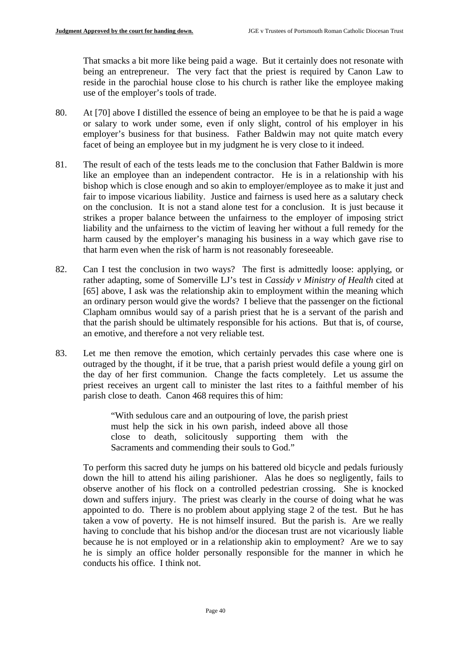That smacks a bit more like being paid a wage. But it certainly does not resonate with being an entrepreneur. The very fact that the priest is required by Canon Law to reside in the parochial house close to his church is rather like the employee making use of the employer's tools of trade.

- 80. At [70] above I distilled the essence of being an employee to be that he is paid a wage or salary to work under some, even if only slight, control of his employer in his employer's business for that business. Father Baldwin may not quite match every facet of being an employee but in my judgment he is very close to it indeed.
- 81. The result of each of the tests leads me to the conclusion that Father Baldwin is more like an employee than an independent contractor. He is in a relationship with his bishop which is close enough and so akin to employer/employee as to make it just and fair to impose vicarious liability. Justice and fairness is used here as a salutary check on the conclusion. It is not a stand alone test for a conclusion. It is just because it strikes a proper balance between the unfairness to the employer of imposing strict liability and the unfairness to the victim of leaving her without a full remedy for the harm caused by the employer's managing his business in a way which gave rise to that harm even when the risk of harm is not reasonably foreseeable.
- an ordinary person would give the words? I believe that the passenger on the fictional 82. Can I test the conclusion in two ways? The first is admittedly loose: applying, or rather adapting, some of Somerville LJ's test in *Cassidy v Ministry of Health* cited at [65] above, I ask was the relationship akin to employment within the meaning which Clapham omnibus would say of a parish priest that he is a servant of the parish and that the parish should be ultimately responsible for his actions. But that is, of course, an emotive, and therefore a not very reliable test.
- 83. Let me then remove the emotion, which certainly pervades this case where one is outraged by the thought, if it be true, that a parish priest would defile a young girl on the day of her first communion. Change the facts completely. Let us assume the priest receives an urgent call to minister the last rites to a faithful member of his parish close to death. Canon 468 requires this of him:

"With sedulous care and an outpouring of love, the parish priest must help the sick in his own parish, indeed above all those close to death, solicitously supporting them with the Sacraments and commending their souls to God."

To perform this sacred duty he jumps on his battered old bicycle and pedals furiously down the hill to attend his ailing parishioner. Alas he does so negligently, fails to observe another of his flock on a controlled pedestrian crossing. She is knocked down and suffers injury. The priest was clearly in the course of doing what he was appointed to do. There is no problem about applying stage 2 of the test. But he has taken a vow of poverty. He is not himself insured. But the parish is. Are we really having to conclude that his bishop and/or the diocesan trust are not vicariously liable because he is not employed or in a relationship akin to employment? Are we to say he is simply an office holder personally responsible for the manner in which he conducts his office. I think not.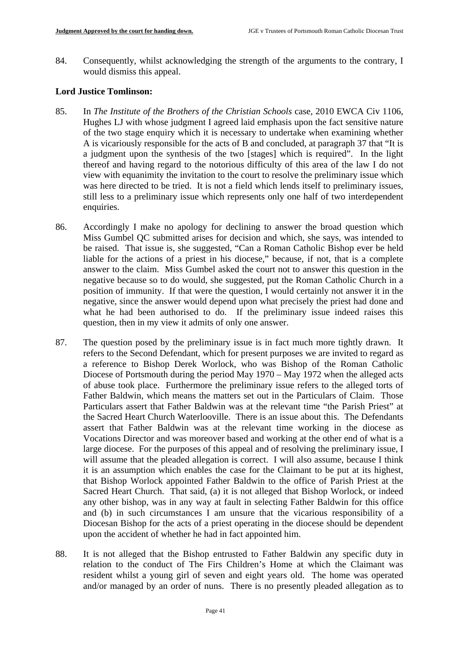84. Consequently, whilst acknowledging the strength of the arguments to the contrary, I would dismiss this appeal.

#### **Lord Justice Tomlinson:**

- 85. In *The Institute of the Brothers of the Christian Schools* case, 2010 EWCA Civ 1106, Hughes LJ with whose judgment I agreed laid emphasis upon the fact sensitive nature of the two stage enquiry which it is necessary to undertake when examining whether A is vicariously responsible for the acts of B and concluded, at paragraph 37 that "It is a judgment upon the synthesis of the two [stages] which is required". In the light thereof and having regard to the notorious difficulty of this area of the law I do not view with equanimity the invitation to the court to resolve the preliminary issue which was here directed to be tried. It is not a field which lends itself to preliminary issues, still less to a preliminary issue which represents only one half of two interdependent enquiries.
- 86. Accordingly I make no apology for declining to answer the broad question which Miss Gumbel QC submitted arises for decision and which, she says, was intended to be raised. That issue is, she suggested, "Can a Roman Catholic Bishop ever be held liable for the actions of a priest in his diocese," because, if not, that is a complete answer to the claim. Miss Gumbel asked the court not to answer this question in the negative because so to do would, she suggested, put the Roman Catholic Church in a position of immunity. If that were the question, I would certainly not answer it in the negative, since the answer would depend upon what precisely the priest had done and what he had been authorised to do. If the preliminary issue indeed raises this question, then in my view it admits of only one answer.
- 87. The question posed by the preliminary issue is in fact much more tightly drawn. It refers to the Second Defendant, which for present purposes we are invited to regard as a reference to Bishop Derek Worlock, who was Bishop of the Roman Catholic Diocese of Portsmouth during the period May 1970 – May 1972 when the alleged acts of abuse took place. Furthermore the preliminary issue refers to the alleged torts of Father Baldwin, which means the matters set out in the Particulars of Claim. Those Particulars assert that Father Baldwin was at the relevant time "the Parish Priest" at the Sacred Heart Church Waterlooville. There is an issue about this. The Defendants assert that Father Baldwin was at the relevant time working in the diocese as Vocations Director and was moreover based and working at the other end of what is a large diocese. For the purposes of this appeal and of resolving the preliminary issue, I will assume that the pleaded allegation is correct. I will also assume, because I think it is an assumption which enables the case for the Claimant to be put at its highest, that Bishop Worlock appointed Father Baldwin to the office of Parish Priest at the Sacred Heart Church. That said, (a) it is not alleged that Bishop Worlock, or indeed any other bishop, was in any way at fault in selecting Father Baldwin for this office and (b) in such circumstances I am unsure that the vicarious responsibility of a Diocesan Bishop for the acts of a priest operating in the diocese should be dependent upon the accident of whether he had in fact appointed him.
- 88. It is not alleged that the Bishop entrusted to Father Baldwin any specific duty in relation to the conduct of The Firs Children's Home at which the Claimant was resident whilst a young girl of seven and eight years old. The home was operated and/or managed by an order of nuns. There is no presently pleaded allegation as to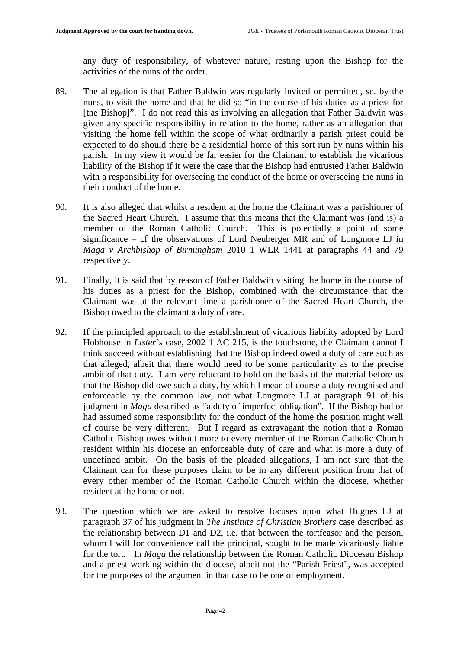any duty of responsibility, of whatever nature, resting upon the Bishop for the activities of the nuns of the order.

- 89. The allegation is that Father Baldwin was regularly invited or permitted, sc. by the nuns, to visit the home and that he did so "in the course of his duties as a priest for [the Bishop]". I do not read this as involving an allegation that Father Baldwin was given any specific responsibility in relation to the home, rather as an allegation that visiting the home fell within the scope of what ordinarily a parish priest could be expected to do should there be a residential home of this sort run by nuns within his parish. In my view it would be far easier for the Claimant to establish the vicarious liability of the Bishop if it were the case that the Bishop had entrusted Father Baldwin with a responsibility for overseeing the conduct of the home or overseeing the nuns in their conduct of the home.
- 90. It is also alleged that whilst a resident at the home the Claimant was a parishioner of the Sacred Heart Church. I assume that this means that the Claimant was (and is) a member of the Roman Catholic Church. This is potentially a point of some significance – cf the observations of Lord Neuberger MR and of Longmore LJ in *Maga v Archbishop of Birmingham* 2010 1 WLR 1441 at paragraphs 44 and 79 respectively.
- 91. Finally, it is said that by reason of Father Baldwin visiting the home in the course of his duties as a priest for the Bishop, combined with the circumstance that the Claimant was at the relevant time a parishioner of the Sacred Heart Church, the Bishop owed to the claimant a duty of care.
- 92. If the principled approach to the establishment of vicarious liability adopted by Lord Hobhouse in *Lister's* case, 2002 1 AC 215, is the touchstone, the Claimant cannot I think succeed without establishing that the Bishop indeed owed a duty of care such as that alleged, albeit that there would need to be some particularity as to the precise ambit of that duty. I am very reluctant to hold on the basis of the material before us that the Bishop did owe such a duty, by which I mean of course a duty recognised and enforceable by the common law, not what Longmore LJ at paragraph 91 of his judgment in *Maga* described as "a duty of imperfect obligation". If the Bishop had or had assumed some responsibility for the conduct of the home the position might well of course be very different. But I regard as extravagant the notion that a Roman Catholic Bishop owes without more to every member of the Roman Catholic Church resident within his diocese an enforceable duty of care and what is more a duty of undefined ambit. On the basis of the pleaded allegations, I am not sure that the Claimant can for these purposes claim to be in any different position from that of every other member of the Roman Catholic Church within the diocese, whether resident at the home or not.
- 93. The question which we are asked to resolve focuses upon what Hughes LJ at paragraph 37 of his judgment in *The Institute of Christian Brothers* case described as the relationship between D1 and D2, i.e. that between the tortfeasor and the person, whom I will for convenience call the principal, sought to be made vicariously liable for the tort. In *Maga* the relationship between the Roman Catholic Diocesan Bishop and a priest working within the diocese, albeit not the "Parish Priest", was accepted for the purposes of the argument in that case to be one of employment.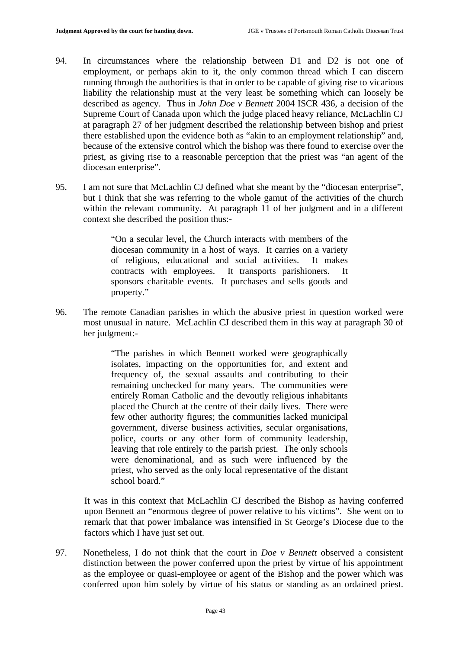- 94. In circumstances where the relationship between D1 and D2 is not one of employment, or perhaps akin to it, the only common thread which I can discern running through the authorities is that in order to be capable of giving rise to vicarious liability the relationship must at the very least be something which can loosely be described as agency. Thus in *John Doe v Bennett* 2004 ISCR 436, a decision of the Supreme Court of Canada upon which the judge placed heavy reliance, McLachlin CJ at paragraph 27 of her judgment described the relationship between bishop and priest there established upon the evidence both as "akin to an employment relationship" and, because of the extensive control which the bishop was there found to exercise over the priest, as giving rise to a reasonable perception that the priest was "an agent of the diocesan enterprise".
- 95. I am not sure that McLachlin CJ defined what she meant by the "diocesan enterprise", but I think that she was referring to the whole gamut of the activities of the church within the relevant community. At paragraph 11 of her judgment and in a different context she described the position thus:-

"On a secular level, the Church interacts with members of the diocesan community in a host of ways. It carries on a variety of religious, educational and social activities. It makes contracts with employees. It transports parishioners. It sponsors charitable events. It purchases and sells goods and property."

96. The remote Canadian parishes in which the abusive priest in question worked were most unusual in nature. McLachlin CJ described them in this way at paragraph 30 of her judgment:-

> "The parishes in which Bennett worked were geographically isolates, impacting on the opportunities for, and extent and frequency of, the sexual assaults and contributing to their remaining unchecked for many years. The communities were entirely Roman Catholic and the devoutly religious inhabitants placed the Church at the centre of their daily lives. There were few other authority figures; the communities lacked municipal government, diverse business activities, secular organisations, police, courts or any other form of community leadership, leaving that role entirely to the parish priest. The only schools were denominational, and as such were influenced by the priest, who served as the only local representative of the distant school board."

It was in this context that McLachlin CJ described the Bishop as having conferred upon Bennett an "enormous degree of power relative to his victims". She went on to remark that that power imbalance was intensified in St George's Diocese due to the factors which I have just set out.

97. Nonetheless, I do not think that the court in *Doe v Bennett* observed a consistent distinction between the power conferred upon the priest by virtue of his appointment as the employee or quasi-employee or agent of the Bishop and the power which was conferred upon him solely by virtue of his status or standing as an ordained priest.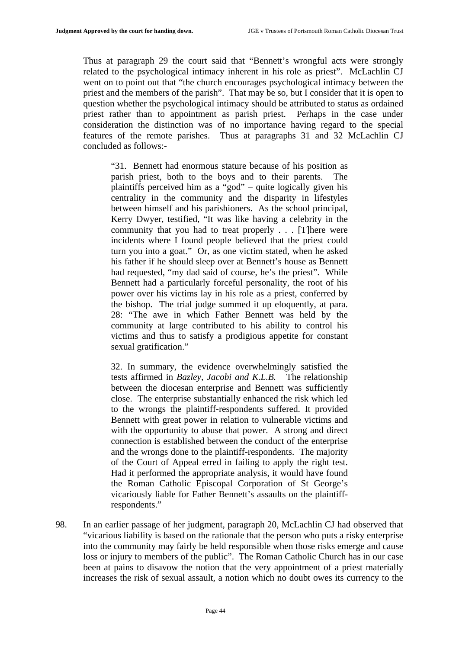Thus at paragraph 29 the court said that "Bennett's wrongful acts were strongly related to the psychological intimacy inherent in his role as priest". McLachlin CJ went on to point out that "the church encourages psychological intimacy between the priest and the members of the parish". That may be so, but I consider that it is open to question whether the psychological intimacy should be attributed to status as ordained priest rather than to appointment as parish priest. Perhaps in the case under consideration the distinction was of no importance having regard to the special features of the remote parishes. Thus at paragraphs 31 and 32 McLachlin CJ concluded as follows:-

"31. Bennett had enormous stature because of his position as parish priest, both to the boys and to their parents. The plaintiffs perceived him as a "god" – quite logically given his centrality in the community and the disparity in lifestyles between himself and his parishioners. As the school principal, Kerry Dwyer, testified, "It was like having a celebrity in the community that you had to treat properly . . . [T]here were incidents where I found people believed that the priest could turn you into a goat." Or, as one victim stated, when he asked his father if he should sleep over at Bennett's house as Bennett had requested, "my dad said of course, he's the priest". While Bennett had a particularly forceful personality, the root of his power over his victims lay in his role as a priest, conferred by the bishop. The trial judge summed it up eloquently, at para. 28: "The awe in which Father Bennett was held by the community at large contributed to his ability to control his victims and thus to satisfy a prodigious appetite for constant sexual gratification."

32. In summary, the evidence overwhelmingly satisfied the tests affirmed in *Bazley, Jacobi and K.L.B.* The relationship between the diocesan enterprise and Bennett was sufficiently close. The enterprise substantially enhanced the risk which led to the wrongs the plaintiff-respondents suffered. It provided Bennett with great power in relation to vulnerable victims and with the opportunity to abuse that power. A strong and direct connection is established between the conduct of the enterprise and the wrongs done to the plaintiff-respondents. The majority of the Court of Appeal erred in failing to apply the right test. Had it performed the appropriate analysis, it would have found the Roman Catholic Episcopal Corporation of St George's vicariously liable for Father Bennett's assaults on the plaintiffrespondents."

98. In an earlier passage of her judgment, paragraph 20, McLachlin CJ had observed that "vicarious liability is based on the rationale that the person who puts a risky enterprise into the community may fairly be held responsible when those risks emerge and cause loss or injury to members of the public". The Roman Catholic Church has in our case been at pains to disavow the notion that the very appointment of a priest materially increases the risk of sexual assault, a notion which no doubt owes its currency to the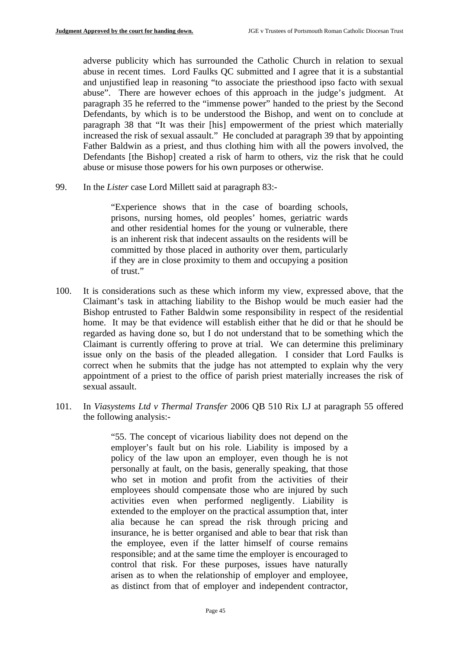adverse publicity which has surrounded the Catholic Church in relation to sexual abuse in recent times. Lord Faulks QC submitted and I agree that it is a substantial and unjustified leap in reasoning "to associate the priesthood ipso facto with sexual abuse". There are however echoes of this approach in the judge's judgment. At paragraph 35 he referred to the "immense power" handed to the priest by the Second Defendants, by which is to be understood the Bishop, and went on to conclude at paragraph 38 that "It was their [his] empowerment of the priest which materially increased the risk of sexual assault." He concluded at paragraph 39 that by appointing Father Baldwin as a priest, and thus clothing him with all the powers involved, the Defendants [the Bishop] created a risk of harm to others, viz the risk that he could abuse or misuse those powers for his own purposes or otherwise.

99. In the *Lister* case Lord Millett said at paragraph 83:-

"Experience shows that in the case of boarding schools, prisons, nursing homes, old peoples' homes, geriatric wards and other residential homes for the young or vulnerable, there is an inherent risk that indecent assaults on the residents will be committed by those placed in authority over them, particularly if they are in close proximity to them and occupying a position of trust."

- 100. It is considerations such as these which inform my view, expressed above, that the Claimant's task in attaching liability to the Bishop would be much easier had the Bishop entrusted to Father Baldwin some responsibility in respect of the residential home. It may be that evidence will establish either that he did or that he should be regarded as having done so, but I do not understand that to be something which the Claimant is currently offering to prove at trial. We can determine this preliminary issue only on the basis of the pleaded allegation. I consider that Lord Faulks is correct when he submits that the judge has not attempted to explain why the very appointment of a priest to the office of parish priest materially increases the risk of sexual assault.
- 101. In *Viasystems Ltd v Thermal Transfer* 2006 QB 510 Rix LJ at paragraph 55 offered the following analysis:-

"55. The concept of vicarious liability does not depend on the employer's fault but on his role. Liability is imposed by a policy of the law upon an employer, even though he is not personally at fault, on the basis, generally speaking, that those who set in motion and profit from the activities of their employees should compensate those who are injured by such activities even when performed negligently. Liability is extended to the employer on the practical assumption that, inter alia because he can spread the risk through pricing and insurance, he is better organised and able to bear that risk than the employee, even if the latter himself of course remains responsible; and at the same time the employer is encouraged to control that risk. For these purposes, issues have naturally arisen as to when the relationship of employer and employee, as distinct from that of employer and independent contractor,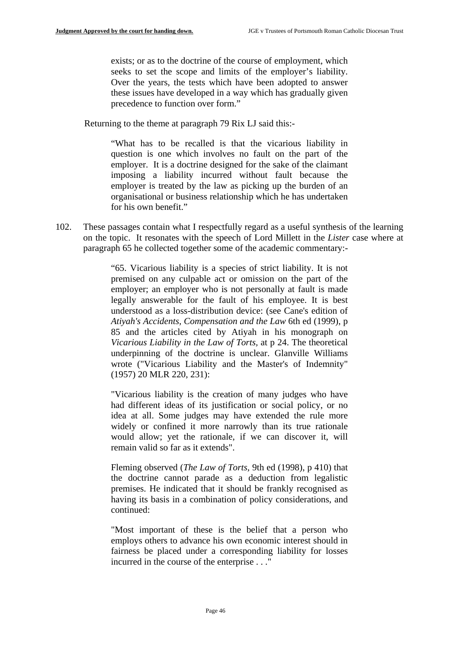exists; or as to the doctrine of the course of employment, which seeks to set the scope and limits of the employer's liability. Over the years, the tests which have been adopted to answer these issues have developed in a way which has gradually given precedence to function over form."

Returning to the theme at paragraph 79 Rix LJ said this:-

"What has to be recalled is that the vicarious liability in question is one which involves no fault on the part of the employer. It is a doctrine designed for the sake of the claimant imposing a liability incurred without fault because the employer is treated by the law as picking up the burden of an organisational or business relationship which he has undertaken for his own benefit."

102. These passages contain what I respectfully regard as a useful synthesis of the learning on the topic. It resonates with the speech of Lord Millett in the *Lister* case where at paragraph 65 he collected together some of the academic commentary:-

> "65. Vicarious liability is a species of strict liability. It is not premised on any culpable act or omission on the part of the employer; an employer who is not personally at fault is made legally answerable for the fault of his employee. It is best understood as a loss-distribution device: (see Cane's edition of *Atiyah's Accidents, Compensation and the Law* 6th ed (1999), p 85 and the articles cited by Atiyah in his monograph on *Vicarious Liability in the Law of Torts,* at p 24. The theoretical underpinning of the doctrine is unclear. Glanville Williams wrote ("Vicarious Liability and the Master's of Indemnity" (1957) 20 MLR 220, 231):

> "Vicarious liability is the creation of many judges who have had different ideas of its justification or social policy, or no idea at all. Some judges may have extended the rule more widely or confined it more narrowly than its true rationale would allow; yet the rationale, if we can discover it, will remain valid so far as it extends".

> Fleming observed (*The Law of Torts,* 9th ed (1998), p 410) that the doctrine cannot parade as a deduction from legalistic premises. He indicated that it should be frankly recognised as having its basis in a combination of policy considerations, and continued:

> "Most important of these is the belief that a person who employs others to advance his own economic interest should in fairness be placed under a corresponding liability for losses incurred in the course of the enterprise . . ."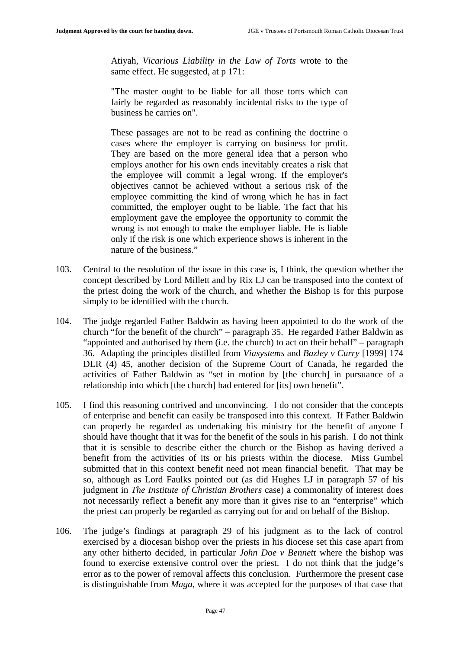Atiyah, *Vicarious Liability in the Law of Torts* wrote to the same effect. He suggested, at p 171:

"The master ought to be liable for all those torts which can fairly be regarded as reasonably incidental risks to the type of business he carries on".

These passages are not to be read as confining the doctrine o cases where the employer is carrying on business for profit. They are based on the more general idea that a person who employs another for his own ends inevitably creates a risk that the employee will commit a legal wrong. If the employer's objectives cannot be achieved without a serious risk of the employee committing the kind of wrong which he has in fact committed, the employer ought to be liable. The fact that his employment gave the employee the opportunity to commit the wrong is not enough to make the employer liable. He is liable only if the risk is one which experience shows is inherent in the nature of the business."

- 103. Central to the resolution of the issue in this case is, I think, the question whether the concept described by Lord Millett and by Rix LJ can be transposed into the context of the priest doing the work of the church, and whether the Bishop is for this purpose simply to be identified with the church.
- 104. The judge regarded Father Baldwin as having been appointed to do the work of the church "for the benefit of the church" – paragraph 35. He regarded Father Baldwin as "appointed and authorised by them (i.e. the church) to act on their behalf" – paragraph 36. Adapting the principles distilled from *Viasystems* and *Bazley v Curry* [1999] 174 DLR (4) 45, another decision of the Supreme Court of Canada, he regarded the activities of Father Baldwin as "set in motion by [the church] in pursuance of a relationship into which [the church] had entered for [its] own benefit".
- 105. I find this reasoning contrived and unconvincing. I do not consider that the concepts of enterprise and benefit can easily be transposed into this context. If Father Baldwin can properly be regarded as undertaking his ministry for the benefit of anyone I should have thought that it was for the benefit of the souls in his parish. I do not think that it is sensible to describe either the church or the Bishop as having derived a benefit from the activities of its or his priests within the diocese. Miss Gumbel submitted that in this context benefit need not mean financial benefit. That may be so, although as Lord Faulks pointed out (as did Hughes LJ in paragraph 57 of his judgment in *The Institute of Christian Brothers* case) a commonality of interest does not necessarily reflect a benefit any more than it gives rise to an "enterprise" which the priest can properly be regarded as carrying out for and on behalf of the Bishop.
- 106. The judge's findings at paragraph 29 of his judgment as to the lack of control exercised by a diocesan bishop over the priests in his diocese set this case apart from any other hitherto decided, in particular *John Doe v Bennett* where the bishop was found to exercise extensive control over the priest. I do not think that the judge's error as to the power of removal affects this conclusion. Furthermore the present case is distinguishable from *Maga*, where it was accepted for the purposes of that case that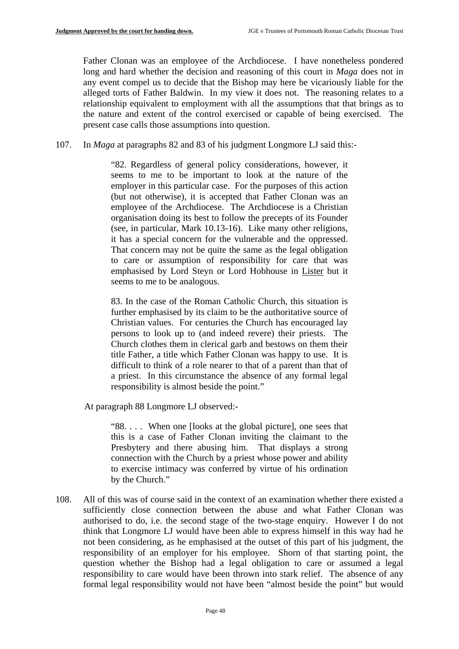Father Clonan was an employee of the Archdiocese. I have nonetheless pondered long and hard whether the decision and reasoning of this court in *Maga* does not in any event compel us to decide that the Bishop may here be vicariously liable for the alleged torts of Father Baldwin. In my view it does not. The reasoning relates to a relationship equivalent to employment with all the assumptions that that brings as to the nature and extent of the control exercised or capable of being exercised. The present case calls those assumptions into question.

107. In *Maga* at paragraphs 82 and 83 of his judgment Longmore LJ said this:-

"82. Regardless of general policy considerations, however, it seems to me to be important to look at the nature of the employer in this particular case. For the purposes of this action (but not otherwise), it is accepted that Father Clonan was an employee of the Archdiocese. The Archdiocese is a Christian organisation doing its best to follow the precepts of its Founder (see, in particular, Mark 10.13-16). Like many other religions, it has a special concern for the vulnerable and the oppressed. That concern may not be quite the same as the legal obligation to care or assumption of responsibility for care that was emphasised by Lord Steyn or Lord Hobhouse in Lister but it seems to me to be analogous.

83. In the case of the Roman Catholic Church, this situation is further emphasised by its claim to be the authoritative source of Christian values. For centuries the Church has encouraged lay persons to look up to (and indeed revere) their priests. The Church clothes them in clerical garb and bestows on them their title Father, a title which Father Clonan was happy to use. It is difficult to think of a role nearer to that of a parent than that of a priest. In this circumstance the absence of any formal legal responsibility is almost beside the point."

At paragraph 88 Longmore LJ observed:-

"88. . . . When one [looks at the global picture], one sees that this is a case of Father Clonan inviting the claimant to the Presbytery and there abusing him. That displays a strong connection with the Church by a priest whose power and ability to exercise intimacy was conferred by virtue of his ordination by the Church."

108. All of this was of course said in the context of an examination whether there existed a sufficiently close connection between the abuse and what Father Clonan was authorised to do, i.e. the second stage of the two-stage enquiry. However I do not think that Longmore LJ would have been able to express himself in this way had he not been considering, as he emphasised at the outset of this part of his judgment, the responsibility of an employer for his employee. Shorn of that starting point, the question whether the Bishop had a legal obligation to care or assumed a legal responsibility to care would have been thrown into stark relief. The absence of any formal legal responsibility would not have been "almost beside the point" but would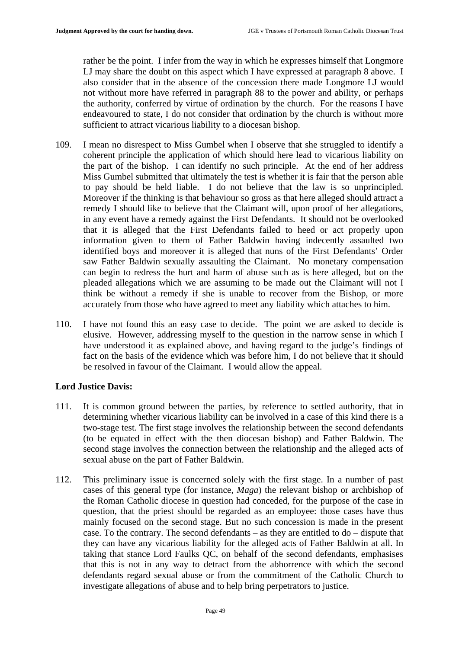rather be the point. I infer from the way in which he expresses himself that Longmore LJ may share the doubt on this aspect which I have expressed at paragraph 8 above. I also consider that in the absence of the concession there made Longmore LJ would not without more have referred in paragraph 88 to the power and ability, or perhaps the authority, conferred by virtue of ordination by the church. For the reasons I have endeavoured to state, I do not consider that ordination by the church is without more sufficient to attract vicarious liability to a diocesan bishop.

- 109. I mean no disrespect to Miss Gumbel when I observe that she struggled to identify a coherent principle the application of which should here lead to vicarious liability on the part of the bishop. I can identify no such principle. At the end of her address Miss Gumbel submitted that ultimately the test is whether it is fair that the person able to pay should be held liable. I do not believe that the law is so unprincipled. Moreover if the thinking is that behaviour so gross as that here alleged should attract a remedy I should like to believe that the Claimant will, upon proof of her allegations, in any event have a remedy against the First Defendants. It should not be overlooked that it is alleged that the First Defendants failed to heed or act properly upon information given to them of Father Baldwin having indecently assaulted two identified boys and moreover it is alleged that nuns of the First Defendants' Order saw Father Baldwin sexually assaulting the Claimant. No monetary compensation can begin to redress the hurt and harm of abuse such as is here alleged, but on the pleaded allegations which we are assuming to be made out the Claimant will not I think be without a remedy if she is unable to recover from the Bishop, or more accurately from those who have agreed to meet any liability which attaches to him.
- 110. I have not found this an easy case to decide. The point we are asked to decide is elusive. However, addressing myself to the question in the narrow sense in which I have understood it as explained above, and having regard to the judge's findings of fact on the basis of the evidence which was before him, I do not believe that it should be resolved in favour of the Claimant. I would allow the appeal.

## **Lord Justice Davis:**

- 111. It is common ground between the parties, by reference to settled authority, that in determining whether vicarious liability can be involved in a case of this kind there is a two-stage test. The first stage involves the relationship between the second defendants (to be equated in effect with the then diocesan bishop) and Father Baldwin. The second stage involves the connection between the relationship and the alleged acts of sexual abuse on the part of Father Baldwin.
- 112. This preliminary issue is concerned solely with the first stage. In a number of past cases of this general type (for instance, *Maga*) the relevant bishop or archbishop of the Roman Catholic diocese in question had conceded, for the purpose of the case in question, that the priest should be regarded as an employee: those cases have thus mainly focused on the second stage. But no such concession is made in the present case. To the contrary. The second defendants – as they are entitled to do – dispute that they can have any vicarious liability for the alleged acts of Father Baldwin at all. In taking that stance Lord Faulks QC, on behalf of the second defendants, emphasises that this is not in any way to detract from the abhorrence with which the second defendants regard sexual abuse or from the commitment of the Catholic Church to investigate allegations of abuse and to help bring perpetrators to justice.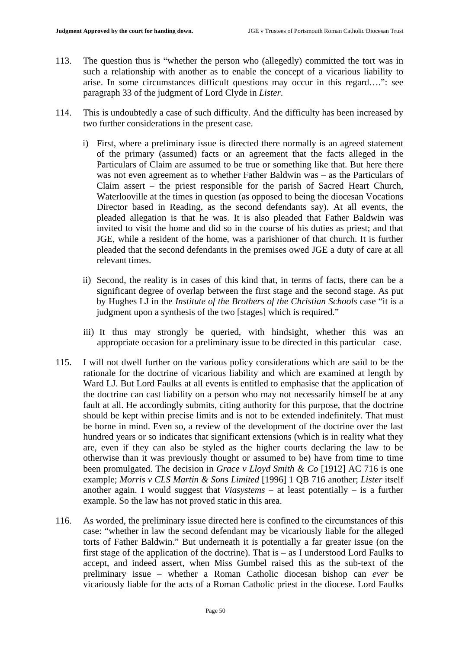- 113. The question thus is "whether the person who (allegedly) committed the tort was in such a relationship with another as to enable the concept of a vicarious liability to arise. In some circumstances difficult questions may occur in this regard….": see paragraph 33 of the judgment of Lord Clyde in *Lister*.
- 114. This is undoubtedly a case of such difficulty. And the difficulty has been increased by two further considerations in the present case.
	- i) First, where a preliminary issue is directed there normally is an agreed statement of the primary (assumed) facts or an agreement that the facts alleged in the Particulars of Claim are assumed to be true or something like that. But here there was not even agreement as to whether Father Baldwin was – as the Particulars of Claim assert – the priest responsible for the parish of Sacred Heart Church, Waterlooville at the times in question (as opposed to being the diocesan Vocations Director based in Reading, as the second defendants say). At all events, the pleaded allegation is that he was. It is also pleaded that Father Baldwin was invited to visit the home and did so in the course of his duties as priest; and that JGE, while a resident of the home, was a parishioner of that church. It is further pleaded that the second defendants in the premises owed JGE a duty of care at all relevant times.
	- ii) Second, the reality is in cases of this kind that, in terms of facts, there can be a significant degree of overlap between the first stage and the second stage. As put by Hughes LJ in the *Institute of the Brothers of the Christian Schools* case "it is a judgment upon a synthesis of the two [stages] which is required."
	- iii) It thus may strongly be queried, with hindsight, whether this was an appropriate occasion for a preliminary issue to be directed in this particular case.
- 115. I will not dwell further on the various policy considerations which are said to be the rationale for the doctrine of vicarious liability and which are examined at length by Ward LJ. But Lord Faulks at all events is entitled to emphasise that the application of the doctrine can cast liability on a person who may not necessarily himself be at any fault at all. He accordingly submits, citing authority for this purpose, that the doctrine should be kept within precise limits and is not to be extended indefinitely. That must be borne in mind. Even so, a review of the development of the doctrine over the last hundred years or so indicates that significant extensions (which is in reality what they are, even if they can also be styled as the higher courts declaring the law to be otherwise than it was previously thought or assumed to be) have from time to time been promulgated. The decision in *Grace v Lloyd Smith & Co* [1912] AC 716 is one example; *Morris v CLS Martin & Sons Limited* [1996] 1 QB 716 another; *Lister* itself another again. I would suggest that *Viasystems* – at least potentially – is a further example. So the law has not proved static in this area.
- 116. As worded, the preliminary issue directed here is confined to the circumstances of this case: "whether in law the second defendant may be vicariously liable for the alleged torts of Father Baldwin." But underneath it is potentially a far greater issue (on the first stage of the application of the doctrine). That is – as I understood Lord Faulks to accept, and indeed assert, when Miss Gumbel raised this as the sub-text of the preliminary issue – whether a Roman Catholic diocesan bishop can *ever* be vicariously liable for the acts of a Roman Catholic priest in the diocese. Lord Faulks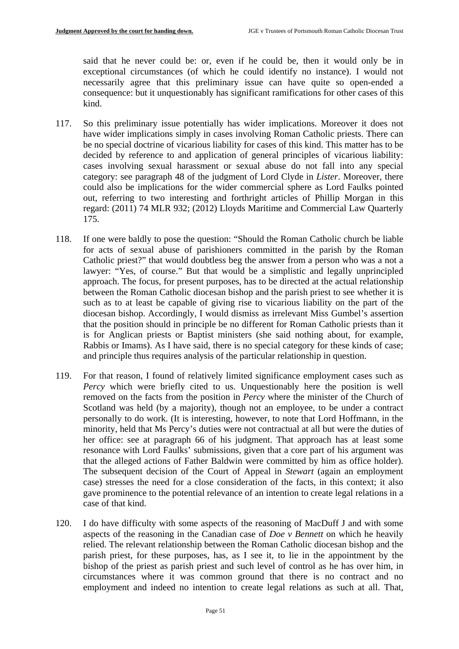said that he never could be: or, even if he could be, then it would only be in exceptional circumstances (of which he could identify no instance). I would not necessarily agree that this preliminary issue can have quite so open-ended a consequence: but it unquestionably has significant ramifications for other cases of this kind.

- 117. So this preliminary issue potentially has wider implications. Moreover it does not have wider implications simply in cases involving Roman Catholic priests. There can be no special doctrine of vicarious liability for cases of this kind. This matter has to be decided by reference to and application of general principles of vicarious liability: cases involving sexual harassment or sexual abuse do not fall into any special category: see paragraph 48 of the judgment of Lord Clyde in *Lister*. Moreover, there could also be implications for the wider commercial sphere as Lord Faulks pointed out, referring to two interesting and forthright articles of Phillip Morgan in this regard: (2011) 74 MLR 932; (2012) Lloyds Maritime and Commercial Law Quarterly 175.
- 118. If one were baldly to pose the question: "Should the Roman Catholic church be liable for acts of sexual abuse of parishioners committed in the parish by the Roman Catholic priest?" that would doubtless beg the answer from a person who was a not a lawyer: "Yes, of course." But that would be a simplistic and legally unprincipled approach. The focus, for present purposes, has to be directed at the actual relationship between the Roman Catholic diocesan bishop and the parish priest to see whether it is such as to at least be capable of giving rise to vicarious liability on the part of the diocesan bishop. Accordingly, I would dismiss as irrelevant Miss Gumbel's assertion that the position should in principle be no different for Roman Catholic priests than it is for Anglican priests or Baptist ministers (she said nothing about, for example, Rabbis or Imams). As I have said, there is no special category for these kinds of case; and principle thus requires analysis of the particular relationship in question.
- 119. For that reason, I found of relatively limited significance employment cases such as *Percy* which were briefly cited to us. Unquestionably here the position is well removed on the facts from the position in *Percy* where the minister of the Church of Scotland was held (by a majority), though not an employee, to be under a contract personally to do work. (It is interesting, however, to note that Lord Hoffmann, in the minority, held that Ms Percy's duties were not contractual at all but were the duties of her office: see at paragraph 66 of his judgment. That approach has at least some resonance with Lord Faulks' submissions, given that a core part of his argument was that the alleged actions of Father Baldwin were committed by him as office holder). The subsequent decision of the Court of Appeal in *Stewart* (again an employment case) stresses the need for a close consideration of the facts, in this context; it also gave prominence to the potential relevance of an intention to create legal relations in a case of that kind.
- 120. I do have difficulty with some aspects of the reasoning of MacDuff J and with some aspects of the reasoning in the Canadian case of *Doe v Bennett* on which he heavily relied. The relevant relationship between the Roman Catholic diocesan bishop and the parish priest, for these purposes, has, as I see it, to lie in the appointment by the bishop of the priest as parish priest and such level of control as he has over him, in circumstances where it was common ground that there is no contract and no employment and indeed no intention to create legal relations as such at all. That,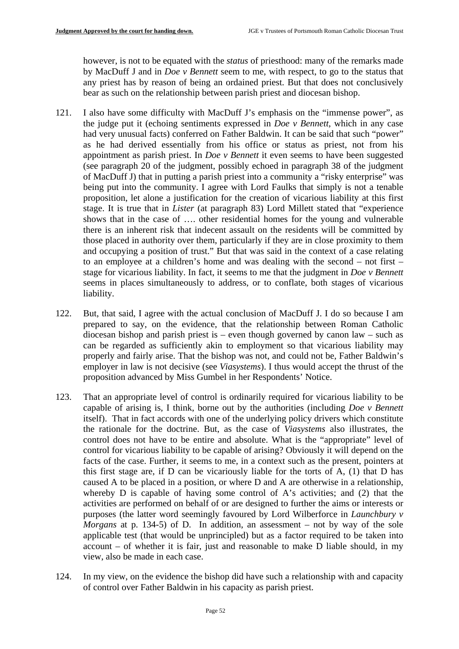however, is not to be equated with the *status* of priesthood: many of the remarks made by MacDuff J and in *Doe v Bennett* seem to me, with respect, to go to the status that any priest has by reason of being an ordained priest. But that does not conclusively bear as such on the relationship between parish priest and diocesan bishop.

- 121. I also have some difficulty with MacDuff J's emphasis on the "immense power", as the judge put it (echoing sentiments expressed in *Doe v Bennett*, which in any case had very unusual facts) conferred on Father Baldwin. It can be said that such "power" as he had derived essentially from his office or status as priest, not from his appointment as parish priest. In *Doe v Bennett* it even seems to have been suggested (see paragraph 20 of the judgment, possibly echoed in paragraph 38 of the judgment of MacDuff J) that in putting a parish priest into a community a "risky enterprise" was being put into the community. I agree with Lord Faulks that simply is not a tenable proposition, let alone a justification for the creation of vicarious liability at this first stage. It is true that in *Lister* (at paragraph 83) Lord Millett stated that "experience shows that in the case of …. other residential homes for the young and vulnerable there is an inherent risk that indecent assault on the residents will be committed by those placed in authority over them, particularly if they are in close proximity to them and occupying a position of trust." But that was said in the context of a case relating to an employee at a children's home and was dealing with the second – not first – stage for vicarious liability. In fact, it seems to me that the judgment in *Doe v Bennett*  seems in places simultaneously to address, or to conflate, both stages of vicarious liability.
- 122. But, that said, I agree with the actual conclusion of MacDuff J. I do so because I am prepared to say, on the evidence, that the relationship between Roman Catholic diocesan bishop and parish priest is – even though governed by canon law – such as can be regarded as sufficiently akin to employment so that vicarious liability may properly and fairly arise. That the bishop was not, and could not be, Father Baldwin's employer in law is not decisive (see *Viasystems*). I thus would accept the thrust of the proposition advanced by Miss Gumbel in her Respondents' Notice.
- 123. That an appropriate level of control is ordinarily required for vicarious liability to be capable of arising is, I think, borne out by the authorities (including *Doe v Bennett*  itself). That in fact accords with one of the underlying policy drivers which constitute the rationale for the doctrine. But, as the case of *Viasystems* also illustrates, the control does not have to be entire and absolute. What is the "appropriate" level of control for vicarious liability to be capable of arising? Obviously it will depend on the facts of the case. Further, it seems to me, in a context such as the present, pointers at this first stage are, if D can be vicariously liable for the torts of A, (1) that D has caused A to be placed in a position, or where D and A are otherwise in a relationship, whereby D is capable of having some control of A's activities; and (2) that the activities are performed on behalf of or are designed to further the aims or interests or purposes (the latter word seemingly favoured by Lord Wilberforce in *Launchbury v Morgans* at p. 134-5) of D. In addition, an assessment – not by way of the sole applicable test (that would be unprincipled) but as a factor required to be taken into account – of whether it is fair, just and reasonable to make D liable should, in my view, also be made in each case.
- 124. In my view, on the evidence the bishop did have such a relationship with and capacity of control over Father Baldwin in his capacity as parish priest.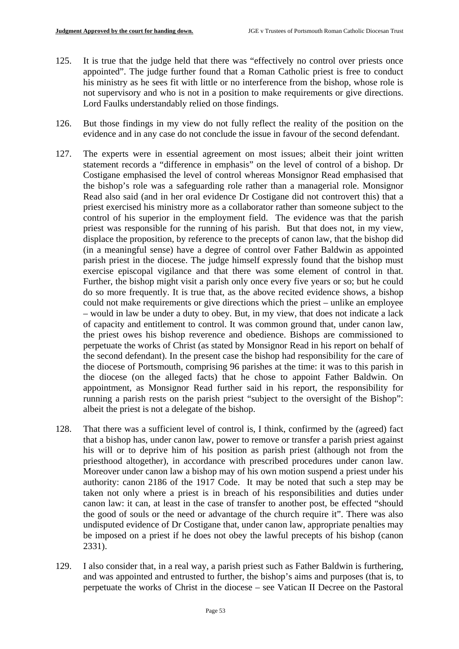- 125. It is true that the judge held that there was "effectively no control over priests once appointed". The judge further found that a Roman Catholic priest is free to conduct his ministry as he sees fit with little or no interference from the bishop, whose role is not supervisory and who is not in a position to make requirements or give directions. Lord Faulks understandably relied on those findings.
- 126. But those findings in my view do not fully reflect the reality of the position on the evidence and in any case do not conclude the issue in favour of the second defendant.
- 127. The experts were in essential agreement on most issues; albeit their joint written statement records a "difference in emphasis" on the level of control of a bishop. Dr Costigane emphasised the level of control whereas Monsignor Read emphasised that the bishop's role was a safeguarding role rather than a managerial role. Monsignor Read also said (and in her oral evidence Dr Costigane did not controvert this) that a priest exercised his ministry more as a collaborator rather than someone subject to the control of his superior in the employment field. The evidence was that the parish priest was responsible for the running of his parish. But that does not, in my view, displace the proposition, by reference to the precepts of canon law, that the bishop did (in a meaningful sense) have a degree of control over Father Baldwin as appointed parish priest in the diocese. The judge himself expressly found that the bishop must exercise episcopal vigilance and that there was some element of control in that. Further, the bishop might visit a parish only once every five years or so; but he could do so more frequently. It is true that, as the above recited evidence shows, a bishop could not make requirements or give directions which the priest – unlike an employee – would in law be under a duty to obey. But, in my view, that does not indicate a lack of capacity and entitlement to control. It was common ground that, under canon law, the priest owes his bishop reverence and obedience. Bishops are commissioned to perpetuate the works of Christ (as stated by Monsignor Read in his report on behalf of the second defendant). In the present case the bishop had responsibility for the care of the diocese of Portsmouth, comprising 96 parishes at the time: it was to this parish in the diocese (on the alleged facts) that he chose to appoint Father Baldwin. On appointment, as Monsignor Read further said in his report, the responsibility for running a parish rests on the parish priest "subject to the oversight of the Bishop": albeit the priest is not a delegate of the bishop.
- 128. That there was a sufficient level of control is, I think, confirmed by the (agreed) fact that a bishop has, under canon law, power to remove or transfer a parish priest against his will or to deprive him of his position as parish priest (although not from the priesthood altogether), in accordance with prescribed procedures under canon law. Moreover under canon law a bishop may of his own motion suspend a priest under his authority: canon 2186 of the 1917 Code. It may be noted that such a step may be taken not only where a priest is in breach of his responsibilities and duties under canon law: it can, at least in the case of transfer to another post, be effected "should the good of souls or the need or advantage of the church require it". There was also undisputed evidence of Dr Costigane that, under canon law, appropriate penalties may be imposed on a priest if he does not obey the lawful precepts of his bishop (canon 2331).
- 129. I also consider that, in a real way, a parish priest such as Father Baldwin is furthering, and was appointed and entrusted to further, the bishop's aims and purposes (that is, to perpetuate the works of Christ in the diocese – see Vatican II Decree on the Pastoral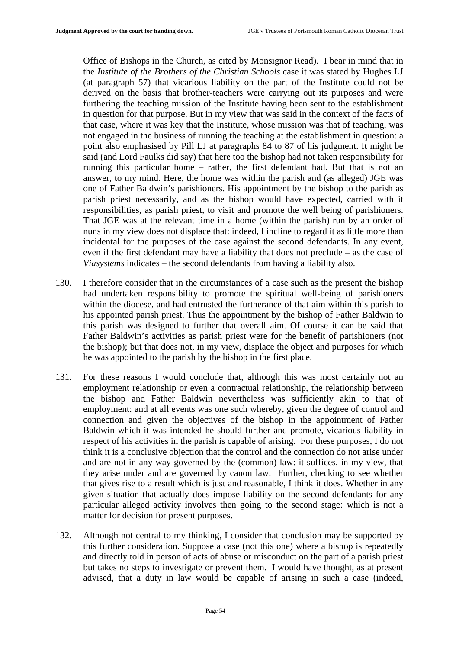Viasystems indicates – the second defendants from having a liability also. Office of Bishops in the Church, as cited by Monsignor Read). I bear in mind that in the *Institute of the Brothers of the Christian Schools* case it was stated by Hughes LJ (at paragraph 57) that vicarious liability on the part of the Institute could not be derived on the basis that brother-teachers were carrying out its purposes and were furthering the teaching mission of the Institute having been sent to the establishment in question for that purpose. But in my view that was said in the context of the facts of that case, where it was key that the Institute, whose mission was that of teaching, was not engaged in the business of running the teaching at the establishment in question: a point also emphasised by Pill LJ at paragraphs 84 to 87 of his judgment. It might be said (and Lord Faulks did say) that here too the bishop had not taken responsibility for running this particular home – rather, the first defendant had. But that is not an answer, to my mind. Here, the home was within the parish and (as alleged) JGE was one of Father Baldwin's parishioners. His appointment by the bishop to the parish as parish priest necessarily, and as the bishop would have expected, carried with it responsibilities, as parish priest, to visit and promote the well being of parishioners. That JGE was at the relevant time in a home (within the parish) run by an order of nuns in my view does not displace that: indeed, I incline to regard it as little more than incidental for the purposes of the case against the second defendants. In any event, even if the first defendant may have a liability that does not preclude – as the case of

- *Viasystems* therefore consider that in the circumstances of a case such as the present the bishop had undertaken responsibility to promote the spiritual well-being of parishioners within the diocese, and had entrusted the furtherance of that aim within this parish to his appointed parish priest. Thus the appointment by the bishop of Father Baldwin to this parish was designed to further that overall aim. Of course it can be said that Father Baldwin's activities as parish priest were for the benefit of parishioners (not the bishop); but that does not, in my view, displace the object and purposes for which he was appointed to the parish by the bishop in the first place.
- 131. For these reasons I would conclude that, although this was most certainly not an employment relationship or even a contractual relationship, the relationship between the bishop and Father Baldwin nevertheless was sufficiently akin to that of employment: and at all events was one such whereby, given the degree of control and connection and given the objectives of the bishop in the appointment of Father Baldwin which it was intended he should further and promote, vicarious liability in respect of his activities in the parish is capable of arising. For these purposes, I do not think it is a conclusive objection that the control and the connection do not arise under and are not in any way governed by the (common) law: it suffices, in my view, that they arise under and are governed by canon law. Further, checking to see whether that gives rise to a result which is just and reasonable, I think it does. Whether in any given situation that actually does impose liability on the second defendants for any particular alleged activity involves then going to the second stage: which is not a matter for decision for present purposes.
- 132. Although not central to my thinking, I consider that conclusion may be supported by this further consideration. Suppose a case (not this one) where a bishop is repeatedly and directly told in person of acts of abuse or misconduct on the part of a parish priest but takes no steps to investigate or prevent them. I would have thought, as at present advised, that a duty in law would be capable of arising in such a case (indeed,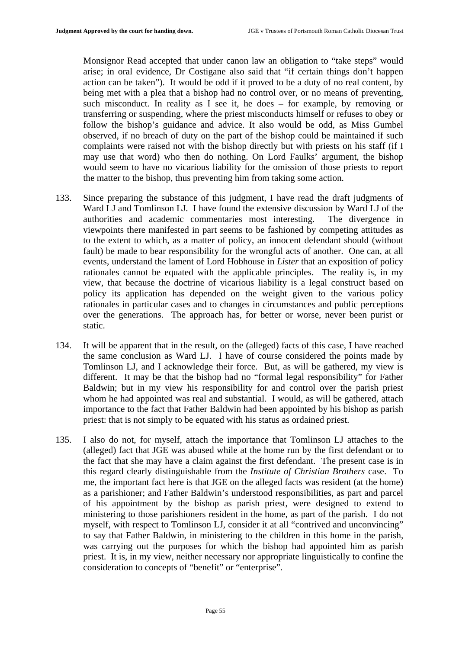Monsignor Read accepted that under canon law an obligation to "take steps" would arise; in oral evidence, Dr Costigane also said that "if certain things don't happen action can be taken"). It would be odd if it proved to be a duty of no real content, by being met with a plea that a bishop had no control over, or no means of preventing, such misconduct. In reality as I see it, he does – for example, by removing or transferring or suspending, where the priest misconducts himself or refuses to obey or follow the bishop's guidance and advice. It also would be odd, as Miss Gumbel observed, if no breach of duty on the part of the bishop could be maintained if such complaints were raised not with the bishop directly but with priests on his staff (if I may use that word) who then do nothing. On Lord Faulks' argument, the bishop would seem to have no vicarious liability for the omission of those priests to report the matter to the bishop, thus preventing him from taking some action.

- 133. Since preparing the substance of this judgment, I have read the draft judgments of Ward LJ and Tomlinson LJ. I have found the extensive discussion by Ward LJ of the authorities and academic commentaries most interesting. The divergence in viewpoints there manifested in part seems to be fashioned by competing attitudes as to the extent to which, as a matter of policy, an innocent defendant should (without fault) be made to bear responsibility for the wrongful acts of another. One can, at all events, understand the lament of Lord Hobhouse in *Lister* that an exposition of policy rationales cannot be equated with the applicable principles. The reality is, in my view, that because the doctrine of vicarious liability is a legal construct based on policy its application has depended on the weight given to the various policy rationales in particular cases and to changes in circumstances and public perceptions over the generations. The approach has, for better or worse, never been purist or static.
- 134. It will be apparent that in the result, on the (alleged) facts of this case, I have reached the same conclusion as Ward LJ. I have of course considered the points made by Tomlinson LJ, and I acknowledge their force. But, as will be gathered, my view is different. It may be that the bishop had no "formal legal responsibility" for Father Baldwin; but in my view his responsibility for and control over the parish priest whom he had appointed was real and substantial. I would, as will be gathered, attach importance to the fact that Father Baldwin had been appointed by his bishop as parish priest: that is not simply to be equated with his status as ordained priest.
- 135. I also do not, for myself, attach the importance that Tomlinson LJ attaches to the (alleged) fact that JGE was abused while at the home run by the first defendant or to the fact that she may have a claim against the first defendant. The present case is in this regard clearly distinguishable from the *Institute of Christian Brothers* case. To me, the important fact here is that JGE on the alleged facts was resident (at the home) as a parishioner; and Father Baldwin's understood responsibilities, as part and parcel of his appointment by the bishop as parish priest, were designed to extend to ministering to those parishioners resident in the home, as part of the parish. I do not myself, with respect to Tomlinson LJ, consider it at all "contrived and unconvincing" to say that Father Baldwin, in ministering to the children in this home in the parish, was carrying out the purposes for which the bishop had appointed him as parish priest. It is, in my view, neither necessary nor appropriate linguistically to confine the consideration to concepts of "benefit" or "enterprise".